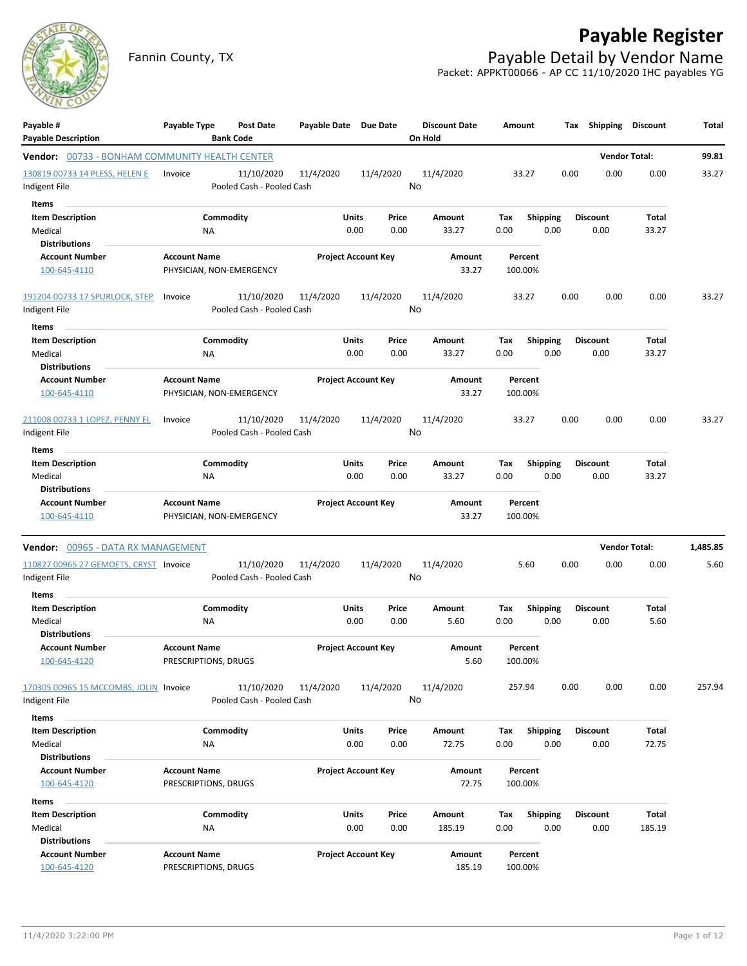

Fannin County, TX **Payable Detail by Vendor Name** Packet: APPKT00066 - AP CC 11/10/2020 IHC payables YG



| Payable #<br><b>Payable Description</b>               | Payable Type             | <b>Post Date</b><br><b>Bank Code</b>    | Payable Date Due Date |                            | <b>Discount Date</b><br>On Hold |        | Amount  |                         | Tax  | <b>Shipping</b> | <b>Discount</b>      | Total    |
|-------------------------------------------------------|--------------------------|-----------------------------------------|-----------------------|----------------------------|---------------------------------|--------|---------|-------------------------|------|-----------------|----------------------|----------|
| <b>Vendor:</b> 00733 - BONHAM COMMUNITY HEALTH CENTER |                          |                                         |                       |                            |                                 |        |         |                         |      |                 | <b>Vendor Total:</b> | 99.81    |
| 130819 00733 14 PLESS, HELEN E                        | Invoice                  | 11/10/2020                              | 11/4/2020             | 11/4/2020                  | 11/4/2020                       |        | 33.27   |                         | 0.00 | 0.00            | 0.00                 | 33.27    |
| Indigent File                                         |                          | Pooled Cash - Pooled Cash               |                       |                            | No                              |        |         |                         |      |                 |                      |          |
| Items                                                 |                          |                                         |                       |                            |                                 |        |         |                         |      |                 |                      |          |
| <b>Item Description</b>                               | Commodity                |                                         |                       | Units<br>Price             | Amount                          |        | Tax     | <b>Shipping</b>         |      | <b>Discount</b> | Total                |          |
| Medical                                               | NA                       |                                         |                       | 0.00<br>0.00               | 33.27                           |        | 0.00    | 0.00                    |      | 0.00            | 33.27                |          |
| <b>Distributions</b>                                  |                          |                                         |                       |                            |                                 |        |         |                         |      |                 |                      |          |
| <b>Account Number</b>                                 | <b>Account Name</b>      |                                         |                       | <b>Project Account Key</b> |                                 | Amount | Percent |                         |      |                 |                      |          |
| 100-645-4110                                          | PHYSICIAN, NON-EMERGENCY |                                         |                       |                            |                                 | 33.27  | 100.00% |                         |      |                 |                      |          |
| 191204 00733 17 SPURLOCK, STEP<br>Indigent File       | Invoice                  | 11/10/2020<br>Pooled Cash - Pooled Cash | 11/4/2020             | 11/4/2020                  | 11/4/2020<br>No                 |        | 33.27   |                         | 0.00 | 0.00            | 0.00                 | 33.27    |
| Items                                                 |                          |                                         |                       |                            |                                 |        |         |                         |      |                 |                      |          |
| <b>Item Description</b>                               | Commodity                |                                         |                       | Units<br>Price             | Amount                          |        | Tax     | <b>Shipping</b>         |      | <b>Discount</b> | Total                |          |
| Medical                                               | ΝA                       |                                         |                       | 0.00<br>0.00               | 33.27                           |        | 0.00    | 0.00                    |      | 0.00            | 33.27                |          |
| <b>Distributions</b>                                  |                          |                                         |                       |                            |                                 |        |         |                         |      |                 |                      |          |
| <b>Account Number</b>                                 | <b>Account Name</b>      |                                         |                       | <b>Project Account Key</b> |                                 | Amount | Percent |                         |      |                 |                      |          |
| 100-645-4110                                          | PHYSICIAN, NON-EMERGENCY |                                         |                       |                            |                                 | 33.27  | 100.00% |                         |      |                 |                      |          |
| 211008 00733 1 LOPEZ, PENNY EL                        | Invoice                  | 11/10/2020                              | 11/4/2020             | 11/4/2020                  | 11/4/2020                       |        | 33.27   |                         | 0.00 | 0.00            | 0.00                 | 33.27    |
| Indigent File                                         |                          | Pooled Cash - Pooled Cash               |                       |                            | No                              |        |         |                         |      |                 |                      |          |
| Items                                                 |                          |                                         |                       |                            |                                 |        |         |                         |      |                 |                      |          |
| <b>Item Description</b>                               | Commodity                |                                         |                       | Units<br>Price             | Amount                          |        | Tax     | <b>Shipping</b>         |      | <b>Discount</b> | Total                |          |
| Medical                                               | NA                       |                                         |                       | 0.00<br>0.00               | 33.27                           |        | 0.00    | 0.00                    |      | 0.00            | 33.27                |          |
| <b>Distributions</b>                                  |                          |                                         |                       |                            |                                 |        |         |                         |      |                 |                      |          |
| <b>Account Number</b>                                 | <b>Account Name</b>      |                                         |                       | <b>Project Account Key</b> |                                 | Amount | Percent |                         |      |                 |                      |          |
| 100-645-4110                                          | PHYSICIAN, NON-EMERGENCY |                                         |                       |                            |                                 | 33.27  | 100.00% |                         |      |                 |                      |          |
| Vendor: 00965 - DATA RX MANAGEMENT                    |                          |                                         |                       |                            |                                 |        |         |                         |      |                 | <b>Vendor Total:</b> | 1,485.85 |
| 110827 00965 27 GEMOETS, CRYST Invoice                |                          | 11/10/2020                              | 11/4/2020             | 11/4/2020                  | 11/4/2020                       |        | 5.60    |                         | 0.00 | 0.00            | 0.00                 | 5.60     |
| Indigent File                                         |                          | Pooled Cash - Pooled Cash               |                       |                            | No                              |        |         |                         |      |                 |                      |          |
| Items                                                 | Commodity                |                                         |                       | Units<br>Price             | Amount                          |        | Tax     |                         |      | <b>Discount</b> | Total                |          |
| <b>Item Description</b>                               |                          |                                         |                       | 0.00<br>0.00               | 5.60                            |        | 0.00    | <b>Shipping</b><br>0.00 |      | 0.00            | 5.60                 |          |
| Medical<br><b>Distributions</b>                       | NA                       |                                         |                       |                            |                                 |        |         |                         |      |                 |                      |          |
| <b>Account Number</b>                                 | <b>Account Name</b>      |                                         |                       | <b>Project Account Key</b> |                                 | Amount | Percent |                         |      |                 |                      |          |
| 100-645-4120                                          | PRESCRIPTIONS, DRUGS     |                                         |                       |                            |                                 | 5.60   | 100.00% |                         |      |                 |                      |          |
| 170305 00965 15 MCCOMBS, JOLIN Invoice                |                          | 11/10/2020                              | 11/4/2020             | 11/4/2020                  | 11/4/2020                       |        | 257.94  |                         | 0.00 | 0.00            | 0.00                 | 257.94   |
| Indigent File<br>Items                                |                          | Pooled Cash - Pooled Cash               |                       |                            | No                              |        |         |                         |      |                 |                      |          |
| <b>Item Description</b>                               | Commodity                |                                         |                       | Units<br>Price             | Amount                          |        | Tax     | <b>Shipping</b>         |      | <b>Discount</b> | Total                |          |
| Medical                                               | NA                       |                                         |                       | 0.00<br>0.00               | 72.75                           |        | 0.00    | 0.00                    |      | 0.00            | 72.75                |          |
| <b>Distributions</b>                                  |                          |                                         |                       |                            |                                 |        |         |                         |      |                 |                      |          |
| <b>Account Number</b>                                 | <b>Account Name</b>      |                                         |                       | <b>Project Account Key</b> |                                 | Amount | Percent |                         |      |                 |                      |          |
| 100-645-4120                                          | PRESCRIPTIONS, DRUGS     |                                         |                       |                            |                                 | 72.75  | 100.00% |                         |      |                 |                      |          |
| Items                                                 |                          |                                         |                       |                            |                                 |        |         |                         |      |                 |                      |          |
| <b>Item Description</b>                               | Commodity                |                                         |                       | Units<br>Price             | Amount                          |        | Tax     | <b>Shipping</b>         |      | <b>Discount</b> | Total                |          |
| Medical                                               | ΝA                       |                                         |                       | 0.00<br>0.00               | 185.19                          |        | 0.00    | 0.00                    |      | 0.00            | 185.19               |          |
| <b>Distributions</b>                                  |                          |                                         |                       |                            |                                 |        |         |                         |      |                 |                      |          |
| <b>Account Number</b>                                 | <b>Account Name</b>      |                                         |                       | <b>Project Account Key</b> |                                 | Amount | Percent |                         |      |                 |                      |          |
| 100-645-4120                                          | PRESCRIPTIONS, DRUGS     |                                         |                       |                            |                                 | 185.19 | 100.00% |                         |      |                 |                      |          |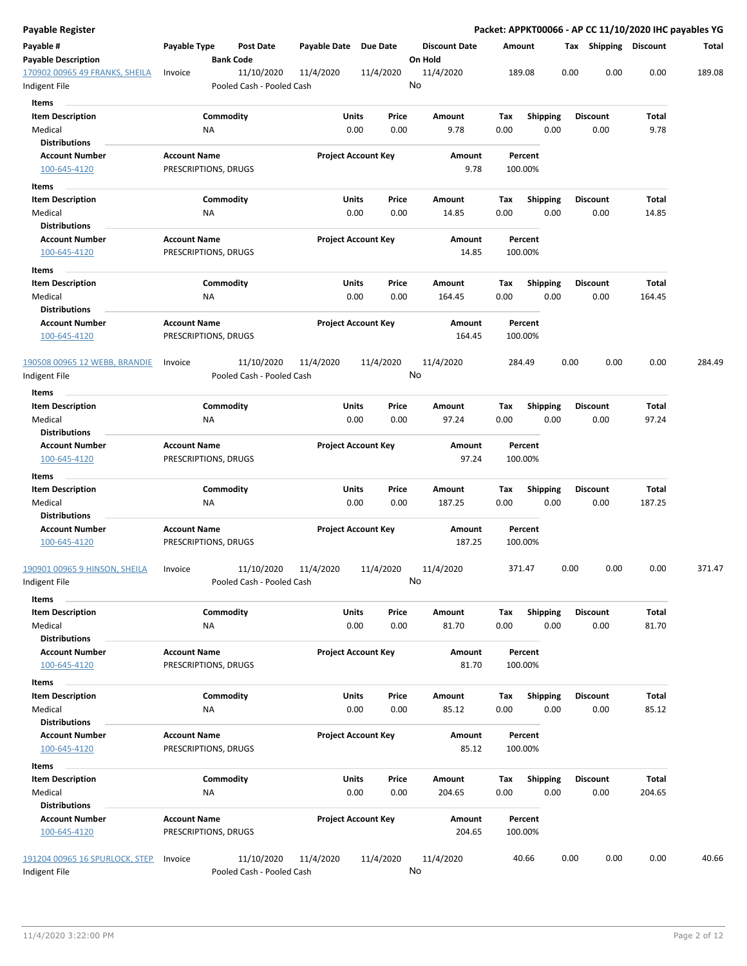| Payable Register                                |                                             |                                         |              |                            |                      |                    |                         |      |                         |               | Packet: APPKT00066 - AP CC 11/10/2020 IHC payables YG |
|-------------------------------------------------|---------------------------------------------|-----------------------------------------|--------------|----------------------------|----------------------|--------------------|-------------------------|------|-------------------------|---------------|-------------------------------------------------------|
| Payable #                                       | Payable Type                                | <b>Post Date</b>                        | Payable Date | <b>Due Date</b>            | <b>Discount Date</b> | Amount             |                         |      | Tax Shipping Discount   |               | Total                                                 |
| <b>Payable Description</b>                      |                                             | <b>Bank Code</b>                        |              |                            | On Hold              |                    |                         |      |                         |               |                                                       |
| 170902 00965 49 FRANKS, SHEILA<br>Indigent File | Invoice                                     | 11/10/2020<br>Pooled Cash - Pooled Cash | 11/4/2020    | 11/4/2020                  | 11/4/2020<br>No      | 189.08             |                         | 0.00 | 0.00                    | 0.00          | 189.08                                                |
|                                                 |                                             |                                         |              |                            |                      |                    |                         |      |                         |               |                                                       |
| <b>Items</b>                                    |                                             |                                         |              |                            |                      |                    |                         |      |                         |               |                                                       |
| <b>Item Description</b><br>Medical              | ΝA                                          | Commodity                               | Units        | Price<br>0.00<br>0.00      | Amount<br>9.78       | Tax<br>0.00        | <b>Shipping</b><br>0.00 |      | <b>Discount</b><br>0.00 | Total<br>9.78 |                                                       |
| <b>Distributions</b>                            |                                             |                                         |              |                            |                      |                    |                         |      |                         |               |                                                       |
| <b>Account Number</b>                           | <b>Account Name</b>                         |                                         |              | <b>Project Account Key</b> | Amount               | Percent            |                         |      |                         |               |                                                       |
| 100-645-4120                                    | PRESCRIPTIONS, DRUGS                        |                                         |              |                            | 9.78                 | 100.00%            |                         |      |                         |               |                                                       |
| Items                                           |                                             |                                         |              |                            |                      |                    |                         |      |                         |               |                                                       |
| <b>Item Description</b>                         |                                             | Commodity                               | Units        | Price                      | Amount               | Tax                | <b>Shipping</b>         |      | <b>Discount</b>         | Total         |                                                       |
| Medical                                         | ΝA                                          |                                         |              | 0.00<br>0.00               | 14.85                | 0.00               | 0.00                    |      | 0.00                    | 14.85         |                                                       |
| Distributions                                   |                                             |                                         |              |                            |                      |                    |                         |      |                         |               |                                                       |
| <b>Account Number</b>                           | <b>Account Name</b>                         |                                         |              | <b>Project Account Key</b> | Amount               | Percent            |                         |      |                         |               |                                                       |
| 100-645-4120                                    | PRESCRIPTIONS, DRUGS                        |                                         |              |                            | 14.85                | 100.00%            |                         |      |                         |               |                                                       |
| Items                                           |                                             |                                         |              |                            |                      |                    |                         |      |                         |               |                                                       |
| <b>Item Description</b>                         |                                             | Commodity                               | Units        | Price                      | Amount               | Tax                | <b>Shipping</b>         |      | <b>Discount</b>         | Total         |                                                       |
| Medical                                         | NA                                          |                                         |              | 0.00<br>0.00               | 164.45               | 0.00               | 0.00                    |      | 0.00                    | 164.45        |                                                       |
| <b>Distributions</b>                            |                                             |                                         |              |                            |                      |                    |                         |      |                         |               |                                                       |
| <b>Account Number</b><br>100-645-4120           | <b>Account Name</b><br>PRESCRIPTIONS, DRUGS |                                         |              | <b>Project Account Key</b> | Amount<br>164.45     | Percent<br>100.00% |                         |      |                         |               |                                                       |
| 190508 00965 12 WEBB, BRANDIE                   | Invoice                                     | 11/10/2020                              | 11/4/2020    | 11/4/2020                  | 11/4/2020            | 284.49             |                         | 0.00 | 0.00                    | 0.00          | 284.49                                                |
| Indigent File                                   |                                             | Pooled Cash - Pooled Cash               |              |                            | No                   |                    |                         |      |                         |               |                                                       |
| Items                                           |                                             |                                         |              |                            |                      |                    |                         |      |                         |               |                                                       |
| <b>Item Description</b>                         |                                             | Commodity                               | Units        | Price                      | Amount               | Tax                | <b>Shipping</b>         |      | <b>Discount</b>         | Total         |                                                       |
| Medical                                         | ΝA                                          |                                         |              | 0.00<br>0.00               | 97.24                | 0.00               | 0.00                    |      | 0.00                    | 97.24         |                                                       |
| <b>Distributions</b>                            |                                             |                                         |              |                            |                      |                    |                         |      |                         |               |                                                       |
| <b>Account Number</b>                           | <b>Account Name</b>                         |                                         |              | <b>Project Account Key</b> | Amount               | Percent            |                         |      |                         |               |                                                       |
| 100-645-4120                                    | PRESCRIPTIONS, DRUGS                        |                                         |              |                            | 97.24                | 100.00%            |                         |      |                         |               |                                                       |
| Items                                           |                                             |                                         |              |                            |                      |                    |                         |      |                         |               |                                                       |
| <b>Item Description</b>                         |                                             | Commodity                               | Units        | Price                      | Amount               | Tax                | <b>Shipping</b>         |      | <b>Discount</b>         | Total         |                                                       |
| Medical<br><b>Distributions</b>                 | ΝA                                          |                                         |              | 0.00<br>0.00               | 187.25               | 0.00               | 0.00                    |      | 0.00                    | 187.25        |                                                       |
| <b>Account Number</b>                           | <b>Account Name</b>                         |                                         |              | <b>Project Account Key</b> | Amount               | Percent            |                         |      |                         |               |                                                       |
| 100-645-4120                                    | PRESCRIPTIONS, DRUGS                        |                                         |              |                            | 187.25               | 100.00%            |                         |      |                         |               |                                                       |
| 190901 00965 9 HINSON, SHEILA                   | Invoice                                     | 11/10/2020                              | 11/4/2020    | 11/4/2020                  | 11/4/2020            | 371.47             |                         | 0.00 | 0.00                    | 0.00          | 371.47                                                |
| Indigent File                                   |                                             | Pooled Cash - Pooled Cash               |              |                            | No                   |                    |                         |      |                         |               |                                                       |
| Items                                           |                                             |                                         |              |                            |                      |                    |                         |      |                         |               |                                                       |
| <b>Item Description</b>                         |                                             | Commodity                               | Units        | Price                      | Amount               | Tax                | <b>Shipping</b>         |      | <b>Discount</b>         | Total         |                                                       |
| Medical                                         | NA                                          |                                         |              | 0.00<br>0.00               | 81.70                | 0.00               | 0.00                    |      | 0.00                    | 81.70         |                                                       |
| <b>Distributions</b><br><b>Account Number</b>   | <b>Account Name</b>                         |                                         |              |                            | Amount               | Percent            |                         |      |                         |               |                                                       |
| 100-645-4120                                    | PRESCRIPTIONS, DRUGS                        |                                         |              | <b>Project Account Key</b> | 81.70                | 100.00%            |                         |      |                         |               |                                                       |
|                                                 |                                             |                                         |              |                            |                      |                    |                         |      |                         |               |                                                       |
| Items<br><b>Item Description</b>                |                                             | Commodity                               | Units        | Price                      | Amount               | Tax                | Shipping                |      | <b>Discount</b>         | Total         |                                                       |
| Medical                                         | NA                                          |                                         |              | 0.00<br>0.00               | 85.12                | 0.00               | 0.00                    |      | 0.00                    | 85.12         |                                                       |
| <b>Distributions</b>                            |                                             |                                         |              |                            |                      |                    |                         |      |                         |               |                                                       |
| <b>Account Number</b>                           | <b>Account Name</b>                         |                                         |              | <b>Project Account Key</b> | Amount               | Percent            |                         |      |                         |               |                                                       |
| 100-645-4120                                    | PRESCRIPTIONS, DRUGS                        |                                         |              |                            | 85.12                | 100.00%            |                         |      |                         |               |                                                       |
| Items                                           |                                             |                                         |              |                            |                      |                    |                         |      |                         |               |                                                       |
| <b>Item Description</b>                         |                                             | Commodity                               | Units        | Price                      | Amount               | Tax                | <b>Shipping</b>         |      | <b>Discount</b>         | Total         |                                                       |
| Medical                                         | ΝA                                          |                                         |              | 0.00<br>0.00               | 204.65               | 0.00               | 0.00                    |      | 0.00                    | 204.65        |                                                       |
| <b>Distributions</b>                            |                                             |                                         |              |                            |                      |                    |                         |      |                         |               |                                                       |
| <b>Account Number</b>                           | <b>Account Name</b>                         |                                         |              | <b>Project Account Key</b> | Amount               | Percent            |                         |      |                         |               |                                                       |
| 100-645-4120                                    | PRESCRIPTIONS, DRUGS                        |                                         |              |                            | 204.65               | 100.00%            |                         |      |                         |               |                                                       |
| 191204 00965 16 SPURLOCK, STEP                  | Invoice                                     | 11/10/2020                              | 11/4/2020    | 11/4/2020                  | 11/4/2020            | 40.66              |                         | 0.00 | 0.00                    | 0.00          | 40.66                                                 |
| Indigent File                                   |                                             | Pooled Cash - Pooled Cash               |              |                            | No                   |                    |                         |      |                         |               |                                                       |
|                                                 |                                             |                                         |              |                            |                      |                    |                         |      |                         |               |                                                       |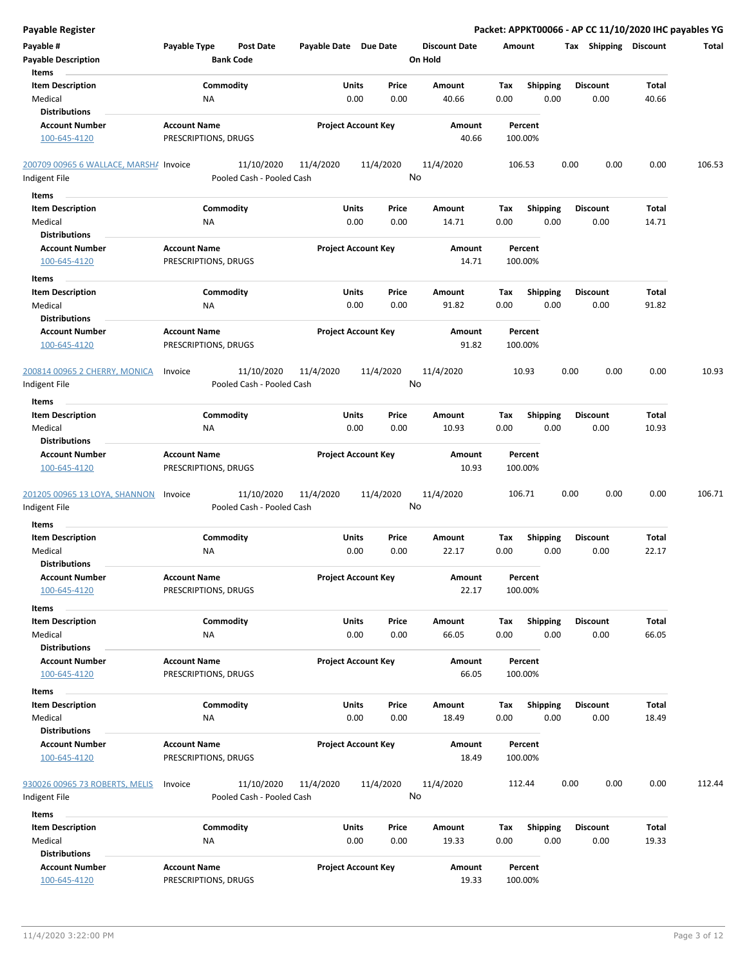| <b>Payable Register</b>                                             |                                                      |                            |                                  | Packet: APPKT00066 - AP CC 11/10/2020 IHC payables YG |                         |                |        |
|---------------------------------------------------------------------|------------------------------------------------------|----------------------------|----------------------------------|-------------------------------------------------------|-------------------------|----------------|--------|
| Payable #<br><b>Payable Description</b>                             | Payable Type<br><b>Post Date</b><br><b>Bank Code</b> | Payable Date Due Date      | <b>Discount Date</b><br>On Hold  | Amount                                                | Tax Shipping Discount   |                | Total  |
| Items<br><b>Item Description</b><br>Medical<br><b>Distributions</b> | Commodity<br>NA                                      | Units<br>0.00              | Price<br>Amount<br>0.00<br>40.66 | Shipping<br>Tax<br>0.00<br>0.00                       | <b>Discount</b><br>0.00 | Total<br>40.66 |        |
| <b>Account Number</b>                                               | <b>Account Name</b>                                  | <b>Project Account Key</b> | Amount                           | Percent                                               |                         |                |        |
| 100-645-4120                                                        | PRESCRIPTIONS, DRUGS                                 |                            | 40.66                            | 100.00%                                               |                         |                |        |
| 200709 00965 6 WALLACE, MARSHA Invoice                              | 11/10/2020                                           | 11/4/2020<br>11/4/2020     | 11/4/2020                        | 106.53                                                | 0.00<br>0.00            | 0.00           | 106.53 |
| Indigent File                                                       | Pooled Cash - Pooled Cash                            |                            | No                               |                                                       |                         |                |        |
| Items                                                               |                                                      |                            |                                  |                                                       |                         |                |        |
| <b>Item Description</b>                                             | Commodity                                            | Units                      | Price<br>Amount                  | Tax<br><b>Shipping</b>                                | <b>Discount</b>         | Total          |        |
| Medical<br><b>Distributions</b>                                     | ΝA                                                   | 0.00                       | 0.00<br>14.71                    | 0.00<br>0.00                                          | 0.00                    | 14.71          |        |
| <b>Account Number</b>                                               | <b>Account Name</b>                                  | <b>Project Account Key</b> | Amount                           | Percent                                               |                         |                |        |
| 100-645-4120                                                        | PRESCRIPTIONS, DRUGS                                 |                            | 14.71                            | 100.00%                                               |                         |                |        |
| Items                                                               |                                                      |                            |                                  |                                                       |                         |                |        |
| <b>Item Description</b>                                             | Commodity                                            | Units                      | Price<br>Amount                  | Tax<br><b>Shipping</b>                                | <b>Discount</b>         | Total          |        |
| Medical<br><b>Distributions</b>                                     | NA                                                   | 0.00                       | 0.00<br>91.82                    | 0.00<br>0.00                                          | 0.00                    | 91.82          |        |
| <b>Account Number</b><br>100-645-4120                               | <b>Account Name</b><br>PRESCRIPTIONS, DRUGS          | <b>Project Account Key</b> | Amount<br>91.82                  | Percent<br>100.00%                                    |                         |                |        |
| 200814 00965 2 CHERRY, MONICA<br>Indigent File                      | 11/10/2020<br>Invoice<br>Pooled Cash - Pooled Cash   | 11/4/2020<br>11/4/2020     | 11/4/2020<br>No                  | 10.93                                                 | 0.00<br>0.00            | 0.00           | 10.93  |
| Items                                                               |                                                      |                            |                                  |                                                       |                         |                |        |
| <b>Item Description</b>                                             | Commodity                                            | Units                      | Price<br>Amount                  | Shipping<br>Tax                                       | <b>Discount</b>         | Total          |        |
| Medical                                                             | NA                                                   | 0.00                       | 0.00<br>10.93                    | 0.00<br>0.00                                          | 0.00                    | 10.93          |        |
| <b>Distributions</b>                                                |                                                      |                            |                                  |                                                       |                         |                |        |
| <b>Account Number</b><br>100-645-4120                               | <b>Account Name</b><br>PRESCRIPTIONS, DRUGS          | <b>Project Account Key</b> | Amount<br>10.93                  | Percent<br>100.00%                                    |                         |                |        |
| 201205 00965 13 LOYA, SHANNON<br>Indigent File                      | 11/10/2020<br>Invoice<br>Pooled Cash - Pooled Cash   | 11/4/2020<br>11/4/2020     | 11/4/2020<br>No                  | 106.71                                                | 0.00<br>0.00            | 0.00           | 106.71 |
| Items                                                               |                                                      |                            |                                  |                                                       |                         |                |        |
| <b>Item Description</b>                                             | Commodity                                            | Units                      | Price<br>Amount                  | Tax<br><b>Shipping</b>                                | <b>Discount</b>         | Total          |        |
| Medical                                                             | ΝA                                                   | 0.00                       | 0.00<br>22.17                    | 0.00<br>0.00                                          | 0.00                    | 22.17          |        |
| <b>Distributions</b>                                                |                                                      |                            |                                  |                                                       |                         |                |        |
| <b>Account Number</b><br>100-645-4120                               | <b>Account Name</b><br>PRESCRIPTIONS, DRUGS          | <b>Project Account Key</b> | Amount<br>22.17                  | Percent<br>100.00%                                    |                         |                |        |
| Items                                                               |                                                      |                            |                                  |                                                       |                         |                |        |
| <b>Item Description</b>                                             | Commodity                                            | Units                      | Price<br>Amount                  | <b>Shipping</b><br>Tax                                | <b>Discount</b>         | Total          |        |
| Medical                                                             | ΝA                                                   | 0.00                       | 0.00<br>66.05                    | 0.00<br>0.00                                          | 0.00                    | 66.05          |        |
| <b>Distributions</b><br><b>Account Number</b>                       | <b>Account Name</b>                                  | <b>Project Account Key</b> | Amount                           | Percent                                               |                         |                |        |
| 100-645-4120                                                        | PRESCRIPTIONS, DRUGS                                 |                            | 66.05                            | 100.00%                                               |                         |                |        |
|                                                                     |                                                      |                            |                                  |                                                       |                         |                |        |
| Items<br><b>Item Description</b>                                    | Commodity                                            | Units                      | Price<br>Amount                  | <b>Shipping</b><br>Tax                                | <b>Discount</b>         | Total          |        |
| Medical                                                             | ΝA                                                   | 0.00                       | 0.00<br>18.49                    | 0.00<br>0.00                                          | 0.00                    | 18.49          |        |
| <b>Distributions</b>                                                |                                                      |                            |                                  |                                                       |                         |                |        |
| <b>Account Number</b>                                               | <b>Account Name</b>                                  | <b>Project Account Key</b> | Amount                           | Percent                                               |                         |                |        |
| 100-645-4120                                                        | PRESCRIPTIONS, DRUGS                                 |                            | 18.49                            | 100.00%                                               |                         |                |        |
| 930026 00965 73 ROBERTS, MELIS                                      | 11/10/2020<br>Invoice                                | 11/4/2020<br>11/4/2020     | 11/4/2020                        | 112.44                                                | 0.00<br>0.00            | 0.00           | 112.44 |
| Indigent File                                                       | Pooled Cash - Pooled Cash                            |                            | No                               |                                                       |                         |                |        |
| Items                                                               |                                                      |                            |                                  |                                                       |                         |                |        |
| <b>Item Description</b>                                             | Commodity                                            | Units                      | Price<br>Amount                  | <b>Shipping</b><br>Tax                                | <b>Discount</b>         | Total          |        |
| Medical<br><b>Distributions</b>                                     | ΝA                                                   | 0.00                       | 0.00<br>19.33                    | 0.00<br>0.00                                          | 0.00                    | 19.33          |        |
| <b>Account Number</b>                                               | <b>Account Name</b>                                  | <b>Project Account Key</b> | Amount                           | Percent                                               |                         |                |        |
| 100-645-4120                                                        | PRESCRIPTIONS, DRUGS                                 |                            | 19.33                            | 100.00%                                               |                         |                |        |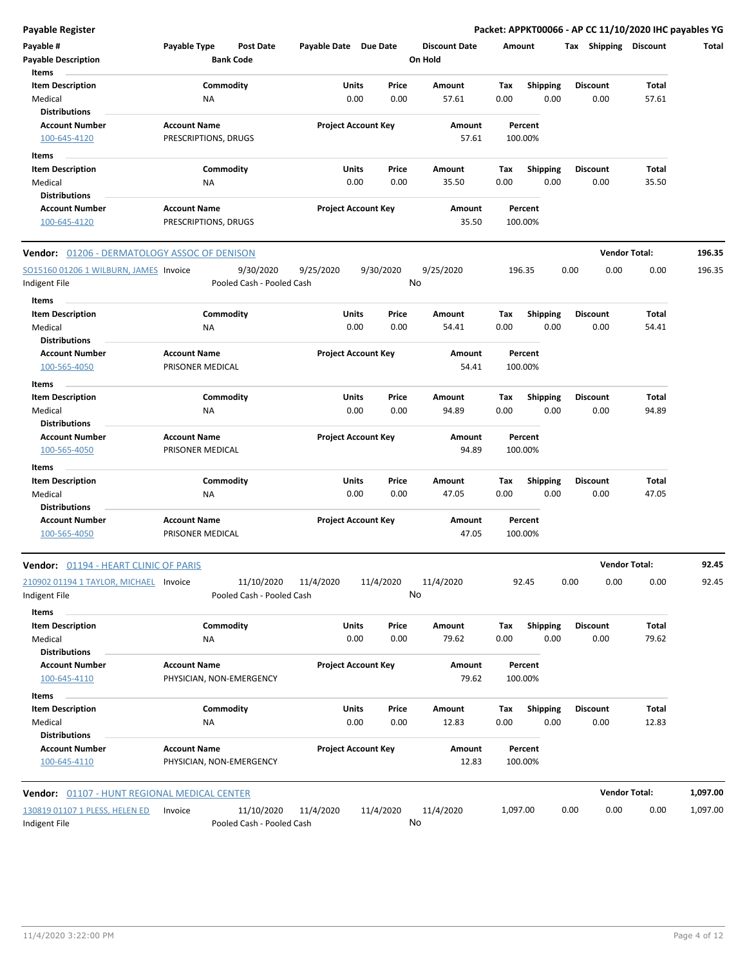**Payable Register Packet: APPKT00066 - AP CC 11/10/2020 IHC payables YG**

| Payable #<br><b>Payable Description</b>      | Payable Type                                | <b>Post Date</b><br><b>Bank Code</b> | Payable Date Due Date      |       |           | <b>Discount Date</b><br>On Hold |             | Amount                  | Tax  | Shipping                | <b>Discount</b> | Total    |
|----------------------------------------------|---------------------------------------------|--------------------------------------|----------------------------|-------|-----------|---------------------------------|-------------|-------------------------|------|-------------------------|-----------------|----------|
| Items<br><b>Item Description</b>             |                                             | Commodity                            |                            | Units | Price     | Amount                          |             |                         |      |                         | Total           |          |
| Medical                                      | ΝA                                          |                                      |                            | 0.00  | 0.00      | 57.61                           | Tax<br>0.00 | Shipping<br>0.00        |      | <b>Discount</b><br>0.00 | 57.61           |          |
| <b>Distributions</b>                         |                                             |                                      |                            |       |           |                                 |             |                         |      |                         |                 |          |
| <b>Account Number</b>                        | <b>Account Name</b>                         |                                      | <b>Project Account Key</b> |       |           | Amount                          |             | Percent                 |      |                         |                 |          |
| 100-645-4120                                 | PRESCRIPTIONS, DRUGS                        |                                      |                            |       |           | 57.61                           |             | 100.00%                 |      |                         |                 |          |
|                                              |                                             |                                      |                            |       |           |                                 |             |                         |      |                         |                 |          |
| Items                                        |                                             |                                      |                            | Units |           |                                 |             |                         |      |                         | Total           |          |
| <b>Item Description</b>                      |                                             | Commodity                            |                            | 0.00  | Price     | Amount<br>35.50                 | Tax<br>0.00 | <b>Shipping</b><br>0.00 |      | <b>Discount</b><br>0.00 | 35.50           |          |
| Medical<br><b>Distributions</b>              | NA                                          |                                      |                            |       | 0.00      |                                 |             |                         |      |                         |                 |          |
|                                              |                                             |                                      |                            |       |           |                                 |             |                         |      |                         |                 |          |
| <b>Account Number</b><br>100-645-4120        | <b>Account Name</b><br>PRESCRIPTIONS, DRUGS |                                      | <b>Project Account Key</b> |       |           | Amount<br>35.50                 |             | Percent<br>100.00%      |      |                         |                 |          |
|                                              |                                             |                                      |                            |       |           |                                 |             |                         |      |                         |                 |          |
| Vendor: 01206 - DERMATOLOGY ASSOC OF DENISON |                                             |                                      |                            |       |           |                                 |             |                         |      | <b>Vendor Total:</b>    |                 | 196.35   |
| SO15160 01206 1 WILBURN, JAMES Invoice       |                                             | 9/30/2020                            | 9/25/2020                  |       | 9/30/2020 | 9/25/2020                       |             | 196.35                  | 0.00 | 0.00                    | 0.00            | 196.35   |
| Indigent File                                |                                             | Pooled Cash - Pooled Cash            |                            |       |           | No                              |             |                         |      |                         |                 |          |
|                                              |                                             |                                      |                            |       |           |                                 |             |                         |      |                         |                 |          |
| Items<br><b>Item Description</b>             |                                             | Commodity                            |                            | Units | Price     | Amount                          | Tax         | <b>Shipping</b>         |      | <b>Discount</b>         | Total           |          |
| Medical                                      | ΝA                                          |                                      |                            | 0.00  | 0.00      | 54.41                           | 0.00        | 0.00                    |      | 0.00                    | 54.41           |          |
| <b>Distributions</b>                         |                                             |                                      |                            |       |           |                                 |             |                         |      |                         |                 |          |
| <b>Account Number</b>                        | <b>Account Name</b>                         |                                      | <b>Project Account Key</b> |       |           | Amount                          |             | Percent                 |      |                         |                 |          |
| 100-565-4050                                 | PRISONER MEDICAL                            |                                      |                            |       |           | 54.41                           |             | 100.00%                 |      |                         |                 |          |
|                                              |                                             |                                      |                            |       |           |                                 |             |                         |      |                         |                 |          |
| Items                                        |                                             |                                      |                            |       |           |                                 |             |                         |      |                         |                 |          |
| <b>Item Description</b>                      |                                             | Commodity                            |                            | Units | Price     | Amount                          | Tax         | <b>Shipping</b>         |      | <b>Discount</b>         | Total           |          |
| Medical                                      | NA                                          |                                      |                            | 0.00  | 0.00      | 94.89                           | 0.00        | 0.00                    |      | 0.00                    | 94.89           |          |
| <b>Distributions</b>                         |                                             |                                      |                            |       |           |                                 |             |                         |      |                         |                 |          |
| <b>Account Number</b>                        | <b>Account Name</b>                         |                                      | <b>Project Account Key</b> |       |           | Amount                          |             | Percent                 |      |                         |                 |          |
| 100-565-4050                                 | PRISONER MEDICAL                            |                                      |                            |       |           | 94.89                           |             | 100.00%                 |      |                         |                 |          |
| Items                                        |                                             |                                      |                            |       |           |                                 |             |                         |      |                         |                 |          |
| <b>Item Description</b>                      |                                             | Commodity                            |                            | Units | Price     | Amount                          | Tax         | <b>Shipping</b>         |      | <b>Discount</b>         | Total           |          |
| Medical                                      | ΝA                                          |                                      |                            | 0.00  | 0.00      | 47.05                           | 0.00        | 0.00                    |      | 0.00                    | 47.05           |          |
| <b>Distributions</b>                         |                                             |                                      |                            |       |           |                                 |             |                         |      |                         |                 |          |
| <b>Account Number</b>                        | <b>Account Name</b>                         |                                      | <b>Project Account Key</b> |       |           | Amount                          |             | Percent                 |      |                         |                 |          |
| 100-565-4050                                 | PRISONER MEDICAL                            |                                      |                            |       |           | 47.05                           |             | 100.00%                 |      |                         |                 |          |
| <b>Vendor: 01194 - HEART CLINIC OF PARIS</b> |                                             |                                      |                            |       |           |                                 |             |                         |      | <b>Vendor Total:</b>    |                 | 92.45    |
| 210902 01194 1 TAYLOR, MICHAEL Invoice       |                                             | 11/10/2020                           | 11/4/2020                  |       | 11/4/2020 | 11/4/2020                       |             | 92.45                   | 0.00 | 0.00                    | 0.00            | 92.45    |
| Indigent File                                |                                             | Pooled Cash - Pooled Cash            |                            |       |           | No                              |             |                         |      |                         |                 |          |
| Items                                        |                                             |                                      |                            |       |           |                                 |             |                         |      |                         |                 |          |
| <b>Item Description</b>                      |                                             | Commodity                            |                            | Units | Price     | Amount                          | Tax         | Shipping                |      | <b>Discount</b>         | Total           |          |
| Medical                                      | NA                                          |                                      |                            | 0.00  | 0.00      | 79.62                           | 0.00        | 0.00                    |      | 0.00                    | 79.62           |          |
| <b>Distributions</b>                         |                                             |                                      |                            |       |           |                                 |             |                         |      |                         |                 |          |
| <b>Account Number</b>                        | <b>Account Name</b>                         |                                      | <b>Project Account Key</b> |       |           | Amount                          |             | Percent                 |      |                         |                 |          |
| 100-645-4110                                 | PHYSICIAN, NON-EMERGENCY                    |                                      |                            |       |           | 79.62                           |             | 100.00%                 |      |                         |                 |          |
| Items                                        |                                             |                                      |                            |       |           |                                 |             |                         |      |                         |                 |          |
| <b>Item Description</b>                      |                                             | Commodity                            |                            | Units | Price     | Amount                          | Tax         | <b>Shipping</b>         |      | <b>Discount</b>         | Total           |          |
| Medical                                      | NA                                          |                                      |                            | 0.00  | 0.00      | 12.83                           | 0.00        | 0.00                    |      | 0.00                    | 12.83           |          |
| <b>Distributions</b>                         |                                             |                                      |                            |       |           |                                 |             |                         |      |                         |                 |          |
| <b>Account Number</b>                        | <b>Account Name</b>                         |                                      | <b>Project Account Key</b> |       |           | Amount                          |             | Percent                 |      |                         |                 |          |
| 100-645-4110                                 | PHYSICIAN, NON-EMERGENCY                    |                                      |                            |       |           | 12.83                           |             | 100.00%                 |      |                         |                 |          |
|                                              |                                             |                                      |                            |       |           |                                 |             |                         |      |                         |                 |          |
| Vendor: 01107 - HUNT REGIONAL MEDICAL CENTER |                                             |                                      |                            |       |           |                                 |             |                         |      | <b>Vendor Total:</b>    |                 | 1,097.00 |
| 130819 01107 1 PLESS, HELEN ED               | Invoice                                     | 11/10/2020                           | 11/4/2020                  |       | 11/4/2020 | 11/4/2020                       | 1,097.00    |                         | 0.00 | 0.00                    | 0.00            | 1,097.00 |
| Indigent File                                |                                             | Pooled Cash - Pooled Cash            |                            |       |           | No                              |             |                         |      |                         |                 |          |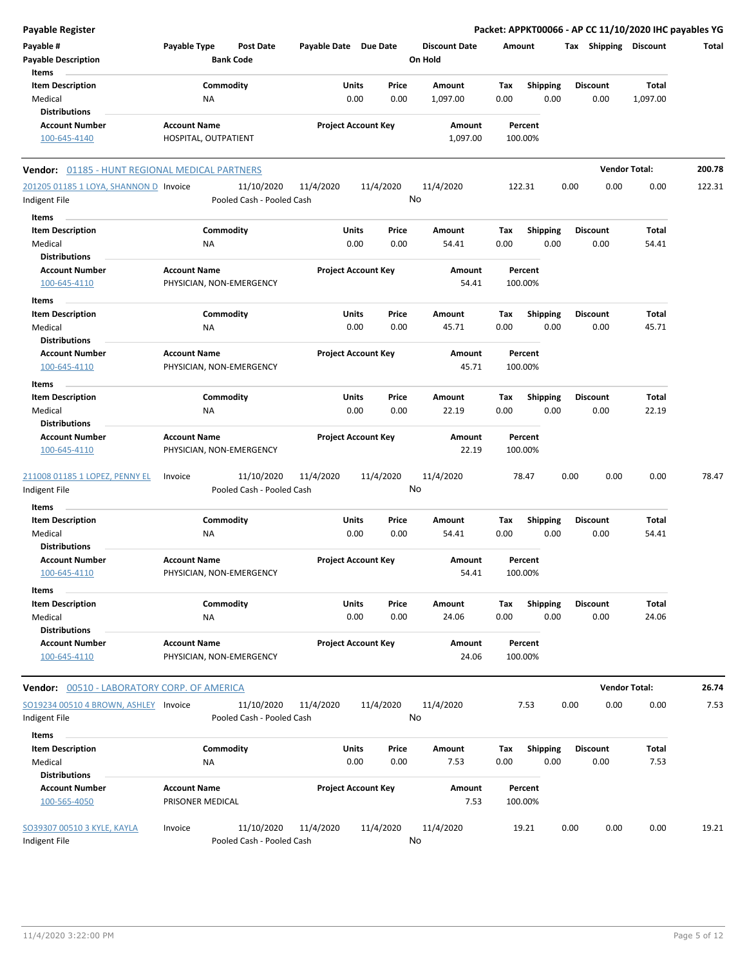| Payable Register                                              |                                                 |                                         |                       |                            |                                 |                    |                         | Packet: APPKT00066 - AP CC 11/10/2020 IHC payables YG |                      |        |
|---------------------------------------------------------------|-------------------------------------------------|-----------------------------------------|-----------------------|----------------------------|---------------------------------|--------------------|-------------------------|-------------------------------------------------------|----------------------|--------|
| Payable #<br><b>Payable Description</b>                       | Payable Type                                    | <b>Post Date</b><br><b>Bank Code</b>    | Payable Date Due Date |                            | <b>Discount Date</b><br>On Hold | Amount             |                         | Tax Shipping Discount                                 |                      | Total  |
| Items<br><b>Item Description</b>                              | Commodity                                       |                                         | Units                 | Price                      | Amount                          | Tax                | <b>Shipping</b>         | <b>Discount</b>                                       | Total                |        |
| Medical                                                       | ΝA                                              |                                         | 0.00                  | 0.00                       | 1,097.00                        | 0.00               | 0.00                    | 0.00                                                  | 1,097.00             |        |
| <b>Distributions</b><br><b>Account Number</b>                 | <b>Account Name</b>                             |                                         |                       | <b>Project Account Key</b> | Amount                          | Percent            |                         |                                                       |                      |        |
| 100-645-4140                                                  | HOSPITAL, OUTPATIENT                            |                                         |                       |                            | 1,097.00                        | 100.00%            |                         |                                                       |                      |        |
| Vendor: 01185 - HUNT REGIONAL MEDICAL PARTNERS                |                                                 |                                         |                       |                            |                                 |                    |                         |                                                       | <b>Vendor Total:</b> | 200.78 |
| 201205 01185 1 LOYA, SHANNON D Invoice                        |                                                 | 11/10/2020                              | 11/4/2020             | 11/4/2020                  | 11/4/2020                       | 122.31             |                         | 0.00<br>0.00                                          | 0.00                 | 122.31 |
| Indigent File                                                 |                                                 | Pooled Cash - Pooled Cash               |                       |                            | No                              |                    |                         |                                                       |                      |        |
| Items                                                         |                                                 |                                         |                       |                            |                                 |                    |                         |                                                       |                      |        |
| <b>Item Description</b><br>Medical                            | Commodity<br>ΝA                                 |                                         | Units<br>0.00         | Price<br>0.00              | Amount<br>54.41                 | Tax<br>0.00        | Shipping<br>0.00        | <b>Discount</b><br>0.00                               | Total<br>54.41       |        |
| <b>Distributions</b>                                          |                                                 |                                         |                       |                            |                                 |                    |                         |                                                       |                      |        |
| <b>Account Number</b><br>100-645-4110                         | <b>Account Name</b><br>PHYSICIAN, NON-EMERGENCY |                                         |                       | <b>Project Account Key</b> | <b>Amount</b><br>54.41          | Percent<br>100.00% |                         |                                                       |                      |        |
| Items                                                         |                                                 |                                         |                       |                            |                                 |                    |                         |                                                       |                      |        |
| <b>Item Description</b><br>Medical                            | Commodity<br><b>NA</b>                          |                                         | Units<br>0.00         | Price<br>0.00              | Amount<br>45.71                 | Tax<br>0.00        | <b>Shipping</b><br>0.00 | <b>Discount</b><br>0.00                               | Total<br>45.71       |        |
| <b>Distributions</b>                                          |                                                 |                                         |                       |                            |                                 |                    |                         |                                                       |                      |        |
| <b>Account Number</b><br>100-645-4110                         | <b>Account Name</b><br>PHYSICIAN, NON-EMERGENCY |                                         |                       | <b>Project Account Key</b> | Amount<br>45.71                 | Percent<br>100.00% |                         |                                                       |                      |        |
| Items<br><b>Item Description</b>                              | Commodity                                       |                                         | Units                 | Price                      | Amount                          | Tax                | <b>Shipping</b>         | <b>Discount</b>                                       | Total                |        |
| Medical                                                       | ΝA                                              |                                         | 0.00                  | 0.00                       | 22.19                           | 0.00               | 0.00                    | 0.00                                                  | 22.19                |        |
| <b>Distributions</b>                                          |                                                 |                                         |                       |                            |                                 |                    |                         |                                                       |                      |        |
| <b>Account Number</b>                                         | <b>Account Name</b>                             |                                         |                       | <b>Project Account Key</b> | Amount                          | Percent            |                         |                                                       |                      |        |
| 100-645-4110                                                  | PHYSICIAN, NON-EMERGENCY                        |                                         |                       |                            | 22.19                           | 100.00%            |                         |                                                       |                      |        |
| 211008 01185 1 LOPEZ, PENNY EL                                | Invoice                                         | 11/10/2020                              | 11/4/2020             | 11/4/2020                  | 11/4/2020                       | 78.47              |                         | 0.00<br>0.00                                          | 0.00                 | 78.47  |
| Indigent File                                                 |                                                 | Pooled Cash - Pooled Cash               |                       |                            | No                              |                    |                         |                                                       |                      |        |
| Items                                                         |                                                 |                                         |                       |                            |                                 |                    |                         |                                                       |                      |        |
| <b>Item Description</b>                                       | Commodity                                       |                                         | Units                 | Price                      | Amount                          | Tax                | <b>Shipping</b>         | <b>Discount</b>                                       | Total                |        |
| Medical<br><b>Distributions</b>                               | NA                                              |                                         | 0.00                  | 0.00                       | 54.41                           | 0.00               | 0.00                    | 0.00                                                  | 54.41                |        |
| <b>Account Number</b>                                         | <b>Account Name</b>                             |                                         |                       | <b>Project Account Key</b> | Amount                          | Percent            |                         |                                                       |                      |        |
| 100-645-4110                                                  | PHYSICIAN, NON-EMERGENCY                        |                                         |                       |                            | 54.41                           | 100.00%            |                         |                                                       |                      |        |
| Items                                                         |                                                 |                                         |                       |                            |                                 |                    |                         |                                                       |                      |        |
| <b>Item Description</b>                                       | Commodity                                       |                                         | Units                 | Price                      | Amount                          | Tax                | Shipping                | <b>Discount</b>                                       | Total                |        |
| Medical                                                       | <b>NA</b>                                       |                                         | 0.00                  | 0.00                       | 24.06                           | 0.00               | 0.00                    | 0.00                                                  | 24.06                |        |
| <b>Distributions</b><br><b>Account Number</b><br>100-645-4110 | <b>Account Name</b><br>PHYSICIAN, NON-EMERGENCY |                                         |                       | <b>Project Account Key</b> | Amount<br>24.06                 | Percent<br>100.00% |                         |                                                       |                      |        |
| <b>Vendor: 00510 - LABORATORY CORP. OF AMERICA</b>            |                                                 |                                         |                       |                            |                                 |                    |                         |                                                       | <b>Vendor Total:</b> | 26.74  |
|                                                               |                                                 |                                         |                       |                            |                                 |                    |                         |                                                       |                      |        |
| SO19234 00510 4 BROWN, ASHLEY Invoice<br>Indigent File        |                                                 | 11/10/2020<br>Pooled Cash - Pooled Cash | 11/4/2020             | 11/4/2020                  | 11/4/2020<br>No                 | 7.53               |                         | 0.00<br>0.00                                          | 0.00                 | 7.53   |
| Items                                                         |                                                 |                                         |                       |                            |                                 |                    |                         |                                                       |                      |        |
| <b>Item Description</b>                                       | Commodity                                       |                                         | Units                 | Price                      | Amount                          | Tax                | <b>Shipping</b>         | <b>Discount</b>                                       | Total                |        |
| Medical<br><b>Distributions</b>                               | <b>NA</b>                                       |                                         | 0.00                  | 0.00                       | 7.53                            | 0.00               | 0.00                    | 0.00                                                  | 7.53                 |        |
| <b>Account Number</b><br>100-565-4050                         | <b>Account Name</b><br>PRISONER MEDICAL         |                                         |                       | <b>Project Account Key</b> | Amount<br>7.53                  | Percent<br>100.00% |                         |                                                       |                      |        |
| SO39307 00510 3 KYLE, KAYLA<br>Indigent File                  | Invoice                                         | 11/10/2020<br>Pooled Cash - Pooled Cash | 11/4/2020             | 11/4/2020                  | 11/4/2020<br>No                 | 19.21              |                         | 0.00<br>0.00                                          | 0.00                 | 19.21  |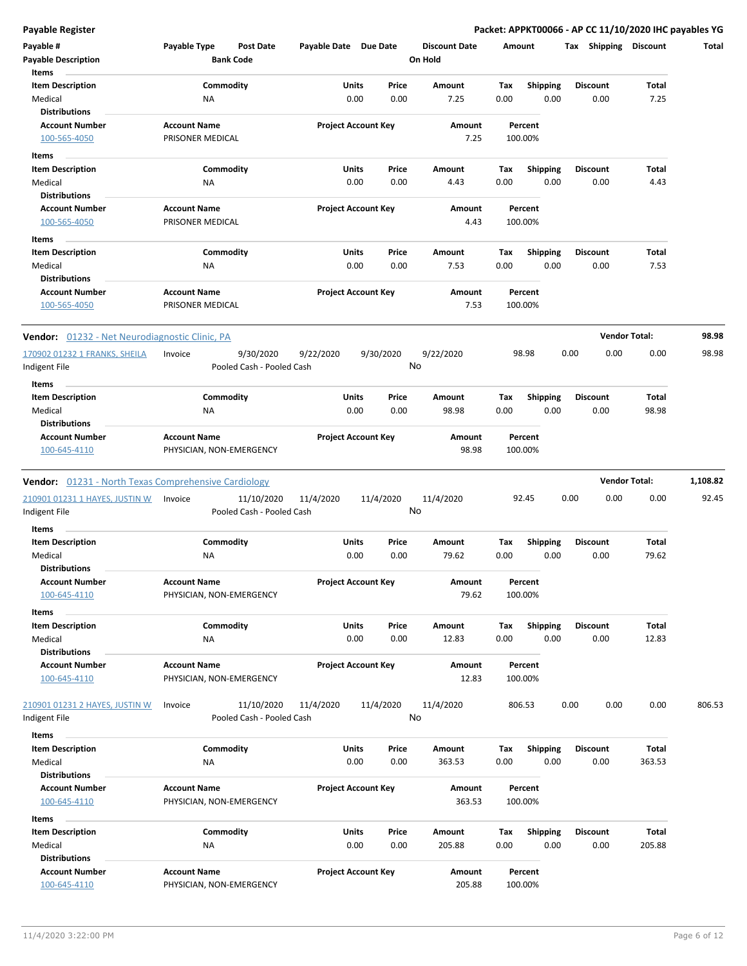**Payable Register Packet: APPKT00066 - AP CC 11/10/2020 IHC payables YG**

| Payable #                                                   | Payable Type                                    | <b>Post Date</b>                        | Payable Date Due Date |                            | <b>Discount Date</b> | Amount |                    | Tax Shipping    | <b>Discount</b>      | Total    |
|-------------------------------------------------------------|-------------------------------------------------|-----------------------------------------|-----------------------|----------------------------|----------------------|--------|--------------------|-----------------|----------------------|----------|
| <b>Payable Description</b><br>Items                         |                                                 | <b>Bank Code</b>                        |                       |                            | On Hold              |        |                    |                 |                      |          |
| <b>Item Description</b>                                     |                                                 | Commodity                               |                       | Units<br>Price             | Amount               | Tax    | <b>Shipping</b>    | <b>Discount</b> | Total                |          |
| Medical                                                     | ΝA                                              |                                         |                       | 0.00<br>0.00               | 7.25                 | 0.00   | 0.00               | 0.00            | 7.25                 |          |
| <b>Distributions</b>                                        |                                                 |                                         |                       |                            |                      |        |                    |                 |                      |          |
| <b>Account Number</b><br>100-565-4050                       | <b>Account Name</b><br>PRISONER MEDICAL         |                                         |                       | <b>Project Account Key</b> | Amount<br>7.25       |        | Percent<br>100.00% |                 |                      |          |
|                                                             |                                                 |                                         |                       |                            |                      |        |                    |                 |                      |          |
| Items                                                       |                                                 |                                         |                       |                            |                      |        |                    |                 |                      |          |
| <b>Item Description</b>                                     | Commodity                                       |                                         |                       | Units<br>Price             | Amount               | Tax    | <b>Shipping</b>    | <b>Discount</b> | Total                |          |
| Medical<br><b>Distributions</b>                             | ΝA                                              |                                         |                       | 0.00<br>0.00               | 4.43                 | 0.00   | 0.00               | 0.00            | 4.43                 |          |
| <b>Account Number</b>                                       |                                                 |                                         |                       |                            | Amount               |        | Percent            |                 |                      |          |
| 100-565-4050                                                | <b>Account Name</b><br>PRISONER MEDICAL         |                                         |                       | <b>Project Account Key</b> | 4.43                 |        | 100.00%            |                 |                      |          |
|                                                             |                                                 |                                         |                       |                            |                      |        |                    |                 |                      |          |
| Items                                                       |                                                 |                                         |                       |                            |                      |        |                    |                 |                      |          |
| <b>Item Description</b>                                     | Commodity                                       |                                         |                       | Units<br>Price             | Amount               | Tax    | <b>Shipping</b>    | <b>Discount</b> | Total                |          |
| Medical                                                     | ΝA                                              |                                         |                       | 0.00<br>0.00               | 7.53                 | 0.00   | 0.00               | 0.00            | 7.53                 |          |
| <b>Distributions</b>                                        |                                                 |                                         |                       |                            |                      |        |                    |                 |                      |          |
| <b>Account Number</b><br>100-565-4050                       | <b>Account Name</b><br>PRISONER MEDICAL         |                                         |                       | <b>Project Account Key</b> | Amount<br>7.53       |        | Percent<br>100.00% |                 |                      |          |
| <b>Vendor:</b> 01232 - Net Neurodiagnostic Clinic, PA       |                                                 |                                         |                       |                            |                      |        |                    |                 | <b>Vendor Total:</b> | 98.98    |
| 170902 01232 1 FRANKS, SHEILA                               | Invoice                                         | 9/30/2020                               | 9/22/2020             | 9/30/2020                  | 9/22/2020            |        | 98.98              | 0.00<br>0.00    | 0.00                 | 98.98    |
| Indigent File                                               |                                                 | Pooled Cash - Pooled Cash               |                       |                            | No                   |        |                    |                 |                      |          |
| Items                                                       |                                                 |                                         |                       |                            |                      |        |                    |                 |                      |          |
| <b>Item Description</b>                                     |                                                 | Commodity                               |                       | Units<br>Price             | Amount               | Tax    | <b>Shipping</b>    | <b>Discount</b> | Total                |          |
| Medical                                                     | NA                                              |                                         |                       | 0.00<br>0.00               | 98.98                | 0.00   | 0.00               | 0.00            | 98.98                |          |
| <b>Distributions</b>                                        |                                                 |                                         |                       |                            |                      |        |                    |                 |                      |          |
| <b>Account Number</b>                                       | <b>Account Name</b>                             |                                         |                       | <b>Project Account Key</b> | Amount               |        | Percent            |                 |                      |          |
| 100-645-4110                                                | PHYSICIAN, NON-EMERGENCY                        |                                         |                       |                            | 98.98                |        | 100.00%            |                 |                      |          |
| <b>Vendor:</b> 01231 - North Texas Comprehensive Cardiology |                                                 |                                         |                       |                            |                      |        |                    |                 | <b>Vendor Total:</b> | 1,108.82 |
|                                                             |                                                 |                                         |                       |                            |                      |        |                    | 0.00            |                      | 92.45    |
| 210901 01231 1 HAYES, JUSTIN W<br>Indigent File             | Invoice                                         | 11/10/2020<br>Pooled Cash - Pooled Cash | 11/4/2020             | 11/4/2020                  | 11/4/2020<br>No      |        | 92.45              | 0.00            | 0.00                 |          |
|                                                             |                                                 |                                         |                       |                            |                      |        |                    |                 |                      |          |
| Items                                                       |                                                 |                                         |                       |                            |                      |        |                    |                 |                      |          |
| <b>Item Description</b>                                     |                                                 | Commodity                               |                       | Units<br>Price             | Amount               | Tax    | <b>Shipping</b>    | <b>Discount</b> | Total                |          |
| Medical                                                     | ΝA                                              |                                         |                       | 0.00<br>0.00               | 79.62                | 0.00   | 0.00               | 0.00            | 79.62                |          |
| <b>Distributions</b>                                        |                                                 |                                         |                       |                            |                      |        |                    |                 |                      |          |
| <b>Account Number</b><br>100-645-4110                       | <b>Account Name</b><br>PHYSICIAN, NON-EMERGENCY |                                         |                       | <b>Project Account Key</b> | Amount<br>79.62      |        | Percent<br>100.00% |                 |                      |          |
|                                                             |                                                 |                                         |                       |                            |                      |        |                    |                 |                      |          |
| Items                                                       |                                                 |                                         |                       |                            |                      |        |                    |                 |                      |          |
| <b>Item Description</b>                                     |                                                 | Commodity                               |                       | Units<br>Price             | Amount               | Tax    | Shipping           | <b>Discount</b> | Total                |          |
| Medical                                                     | NA                                              |                                         |                       | 0.00<br>0.00               | 12.83                | 0.00   | 0.00               | 0.00            | 12.83                |          |
| <b>Distributions</b>                                        |                                                 |                                         |                       |                            |                      |        |                    |                 |                      |          |
| <b>Account Number</b>                                       | <b>Account Name</b>                             |                                         |                       | <b>Project Account Key</b> | Amount               |        | Percent<br>100.00% |                 |                      |          |
| 100-645-4110                                                | PHYSICIAN, NON-EMERGENCY                        |                                         |                       |                            | 12.83                |        |                    |                 |                      |          |
| 210901 01231 2 HAYES, JUSTIN W                              | Invoice                                         | 11/10/2020                              | 11/4/2020             | 11/4/2020                  | 11/4/2020            |        | 806.53             | 0.00<br>0.00    | 0.00                 | 806.53   |
| Indigent File                                               |                                                 | Pooled Cash - Pooled Cash               |                       |                            | No                   |        |                    |                 |                      |          |
|                                                             |                                                 |                                         |                       |                            |                      |        |                    |                 |                      |          |
| <b>Items</b>                                                |                                                 |                                         |                       |                            |                      |        |                    |                 |                      |          |
| <b>Item Description</b>                                     |                                                 | Commodity                               |                       | Units<br>Price             | Amount               | Tax    | <b>Shipping</b>    | <b>Discount</b> | Total                |          |
| Medical                                                     | NA                                              |                                         |                       | 0.00<br>0.00               | 363.53               | 0.00   | 0.00               | 0.00            | 363.53               |          |
| <b>Distributions</b><br><b>Account Number</b>               | <b>Account Name</b>                             |                                         |                       | <b>Project Account Key</b> | Amount               |        | Percent            |                 |                      |          |
|                                                             |                                                 |                                         |                       |                            |                      |        |                    |                 |                      |          |
| 100-645-4110                                                | PHYSICIAN, NON-EMERGENCY                        |                                         |                       |                            | 363.53               |        | 100.00%            |                 |                      |          |
| Items                                                       |                                                 |                                         |                       |                            |                      |        |                    |                 |                      |          |
| <b>Item Description</b>                                     |                                                 | Commodity                               |                       | Units<br>Price             | Amount               | Tax    | <b>Shipping</b>    | <b>Discount</b> | Total                |          |
| Medical                                                     | NA                                              |                                         |                       | 0.00<br>0.00               | 205.88               | 0.00   | 0.00               | 0.00            | 205.88               |          |
| <b>Distributions</b>                                        |                                                 |                                         |                       |                            |                      |        |                    |                 |                      |          |
| <b>Account Number</b><br>100-645-4110                       | <b>Account Name</b>                             |                                         |                       | <b>Project Account Key</b> | Amount               |        | Percent            |                 |                      |          |
|                                                             |                                                 | PHYSICIAN, NON-EMERGENCY                |                       |                            | 205.88               |        | 100.00%            |                 |                      |          |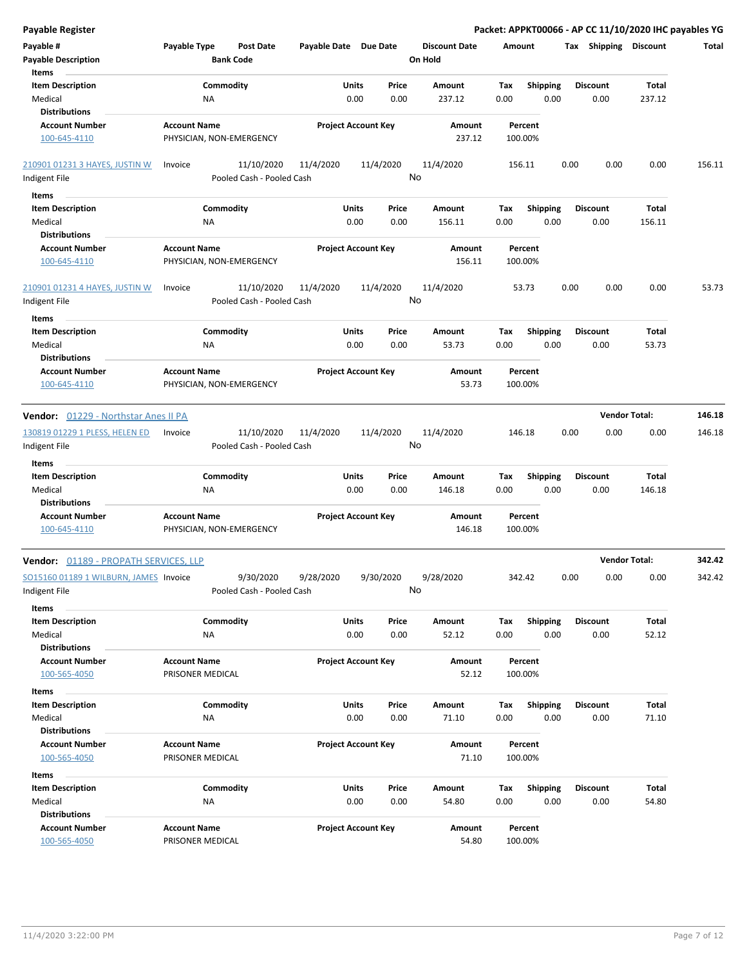| Payable Register                                        |                          |                                        |                       |                            |       |                      |        |                 |      |                 | Packet: APPKT00066 - AP CC 11/10/2020 IHC payables YG |        |
|---------------------------------------------------------|--------------------------|----------------------------------------|-----------------------|----------------------------|-------|----------------------|--------|-----------------|------|-----------------|-------------------------------------------------------|--------|
| Payable #                                               | Payable Type             | <b>Post Date</b>                       | Payable Date Due Date |                            |       | <b>Discount Date</b> | Amount |                 |      |                 | Tax Shipping Discount                                 | Total  |
| <b>Payable Description</b>                              |                          | <b>Bank Code</b>                       |                       |                            |       | On Hold              |        |                 |      |                 |                                                       |        |
| Items                                                   |                          |                                        |                       |                            |       |                      |        |                 |      |                 |                                                       |        |
| <b>Item Description</b>                                 | Commodity                |                                        |                       | Units                      | Price | Amount               | Tax    | <b>Shipping</b> |      | <b>Discount</b> | Total                                                 |        |
| Medical                                                 | ΝA                       |                                        |                       | 0.00                       | 0.00  | 237.12               | 0.00   | 0.00            |      | 0.00            | 237.12                                                |        |
| <b>Distributions</b>                                    |                          |                                        |                       |                            |       |                      |        |                 |      |                 |                                                       |        |
| <b>Account Number</b>                                   | <b>Account Name</b>      |                                        |                       | <b>Project Account Key</b> |       | Amount               |        | Percent         |      |                 |                                                       |        |
| 100-645-4110                                            | PHYSICIAN, NON-EMERGENCY |                                        |                       |                            |       | 237.12               |        | 100.00%         |      |                 |                                                       |        |
|                                                         |                          |                                        |                       |                            |       |                      |        |                 |      |                 |                                                       |        |
| 210901 01231 3 HAYES, JUSTIN W                          | Invoice                  | 11/10/2020                             | 11/4/2020             | 11/4/2020                  |       | 11/4/2020            | 156.11 |                 | 0.00 | 0.00            | 0.00                                                  | 156.11 |
| Indigent File                                           |                          | Pooled Cash - Pooled Cash              |                       |                            | No    |                      |        |                 |      |                 |                                                       |        |
| Items                                                   |                          |                                        |                       |                            |       |                      |        |                 |      |                 |                                                       |        |
| <b>Item Description</b>                                 | Commodity                |                                        |                       | Units                      | Price | Amount               | Tax    | <b>Shipping</b> |      | <b>Discount</b> | Total                                                 |        |
| Medical                                                 | NA                       |                                        |                       | 0.00                       | 0.00  | 156.11               | 0.00   | 0.00            |      | 0.00            | 156.11                                                |        |
| <b>Distributions</b>                                    |                          |                                        |                       |                            |       |                      |        |                 |      |                 |                                                       |        |
| <b>Account Number</b>                                   | <b>Account Name</b>      |                                        |                       | <b>Project Account Key</b> |       | Amount               |        | Percent         |      |                 |                                                       |        |
| 100-645-4110                                            | PHYSICIAN, NON-EMERGENCY |                                        |                       |                            |       | 156.11               |        | 100.00%         |      |                 |                                                       |        |
| 210901 01231 4 HAYES, JUSTIN W                          | Invoice                  | 11/10/2020                             | 11/4/2020             | 11/4/2020                  |       | 11/4/2020            |        | 53.73           | 0.00 | 0.00            | 0.00                                                  | 53.73  |
| Indigent File                                           |                          | Pooled Cash - Pooled Cash              |                       |                            | No    |                      |        |                 |      |                 |                                                       |        |
|                                                         |                          |                                        |                       |                            |       |                      |        |                 |      |                 |                                                       |        |
| Items                                                   |                          |                                        |                       |                            |       |                      |        |                 |      | <b>Discount</b> |                                                       |        |
| <b>Item Description</b>                                 | Commodity                |                                        |                       | Units                      | Price | Amount               | Tax    | <b>Shipping</b> |      |                 | Total                                                 |        |
| Medical                                                 | ΝA                       |                                        |                       | 0.00                       | 0.00  | 53.73                | 0.00   | 0.00            |      | 0.00            | 53.73                                                 |        |
| <b>Distributions</b>                                    |                          |                                        |                       |                            |       |                      |        |                 |      |                 |                                                       |        |
| <b>Account Number</b>                                   | <b>Account Name</b>      |                                        |                       | <b>Project Account Key</b> |       | <b>Amount</b>        |        | Percent         |      |                 |                                                       |        |
| 100-645-4110                                            | PHYSICIAN, NON-EMERGENCY |                                        |                       |                            |       | 53.73                |        | 100.00%         |      |                 |                                                       |        |
| Vendor: 01229 - Northstar Anes II PA                    |                          |                                        |                       |                            |       |                      |        |                 |      |                 | <b>Vendor Total:</b>                                  | 146.18 |
| 130819 01229 1 PLESS, HELEN ED                          | Invoice                  | 11/10/2020                             | 11/4/2020             | 11/4/2020                  |       | 11/4/2020            | 146.18 |                 | 0.00 | 0.00            | 0.00                                                  | 146.18 |
| Indigent File                                           |                          | Pooled Cash - Pooled Cash              |                       |                            |       | No                   |        |                 |      |                 |                                                       |        |
|                                                         |                          |                                        |                       |                            |       |                      |        |                 |      |                 |                                                       |        |
| Items                                                   |                          |                                        |                       |                            |       |                      |        |                 |      |                 |                                                       |        |
| <b>Item Description</b>                                 | Commodity                |                                        |                       | Units                      | Price | Amount               | Tax    | <b>Shipping</b> |      | Discount        | Total                                                 |        |
| Medical                                                 | ΝA                       |                                        |                       | 0.00                       | 0.00  | 146.18               | 0.00   | 0.00            |      | 0.00            | 146.18                                                |        |
| <b>Distributions</b>                                    |                          |                                        |                       |                            |       |                      |        |                 |      |                 |                                                       |        |
| <b>Account Number</b>                                   | <b>Account Name</b>      |                                        |                       | <b>Project Account Key</b> |       | Amount               |        | Percent         |      |                 |                                                       |        |
| 100-645-4110                                            | PHYSICIAN, NON-EMERGENCY |                                        |                       |                            |       | 146.18               |        | 100.00%         |      |                 |                                                       |        |
| <b>Vendor:</b> 01189 - PROPATH SERVICES, LLP            |                          |                                        |                       |                            |       |                      |        |                 |      |                 | <b>Vendor Total:</b>                                  | 342.42 |
|                                                         |                          |                                        |                       |                            |       |                      |        |                 |      |                 |                                                       |        |
| SO15160 01189 1 WILBURN, JAMES Invoice<br>Indigent File |                          | 9/30/2020<br>Pooled Cash - Pooled Cash | 9/28/2020             | 9/30/2020                  | No    | 9/28/2020            |        | 342.42          | 0.00 | 0.00            | 0.00                                                  | 342.42 |
| Items                                                   |                          |                                        |                       |                            |       |                      |        |                 |      |                 |                                                       |        |
| <b>Item Description</b>                                 | Commodity                |                                        |                       | Units                      | Price | Amount               | Tax    | <b>Shipping</b> |      | <b>Discount</b> | Total                                                 |        |
| Medical                                                 | ΝA                       |                                        |                       | 0.00                       | 0.00  | 52.12                | 0.00   | 0.00            |      | 0.00            | 52.12                                                 |        |
| <b>Distributions</b>                                    |                          |                                        |                       |                            |       |                      |        |                 |      |                 |                                                       |        |
| <b>Account Number</b>                                   | <b>Account Name</b>      |                                        |                       | <b>Project Account Key</b> |       | Amount               |        | Percent         |      |                 |                                                       |        |
| 100-565-4050                                            | PRISONER MEDICAL         |                                        |                       |                            |       | 52.12                |        | 100.00%         |      |                 |                                                       |        |
|                                                         |                          |                                        |                       |                            |       |                      |        |                 |      |                 |                                                       |        |
| Items                                                   |                          |                                        |                       |                            |       |                      |        |                 |      |                 |                                                       |        |
| <b>Item Description</b>                                 | Commodity                |                                        |                       | Units                      | Price | Amount               | Tax    | <b>Shipping</b> |      | Discount        | Total                                                 |        |
| Medical                                                 | ΝA                       |                                        |                       | 0.00                       | 0.00  | 71.10                | 0.00   | 0.00            |      | 0.00            | 71.10                                                 |        |
| <b>Distributions</b>                                    |                          |                                        |                       |                            |       |                      |        |                 |      |                 |                                                       |        |
| <b>Account Number</b>                                   | <b>Account Name</b>      |                                        |                       | <b>Project Account Key</b> |       | Amount               |        | Percent         |      |                 |                                                       |        |
| 100-565-4050                                            | PRISONER MEDICAL         |                                        |                       |                            |       | 71.10                |        | 100.00%         |      |                 |                                                       |        |
| Items                                                   |                          |                                        |                       |                            |       |                      |        |                 |      |                 |                                                       |        |
| <b>Item Description</b>                                 | Commodity                |                                        |                       | Units                      | Price | Amount               | Тах    | Shipping        |      | Discount        | Total                                                 |        |
| Medical                                                 | ΝA                       |                                        |                       | 0.00                       | 0.00  | 54.80                | 0.00   | 0.00            |      | 0.00            | 54.80                                                 |        |
| <b>Distributions</b>                                    |                          |                                        |                       |                            |       |                      |        |                 |      |                 |                                                       |        |
| <b>Account Number</b>                                   | <b>Account Name</b>      |                                        |                       | <b>Project Account Key</b> |       | Amount               |        | Percent         |      |                 |                                                       |        |
| 100-565-4050                                            | PRISONER MEDICAL         |                                        |                       |                            |       | 54.80                |        | 100.00%         |      |                 |                                                       |        |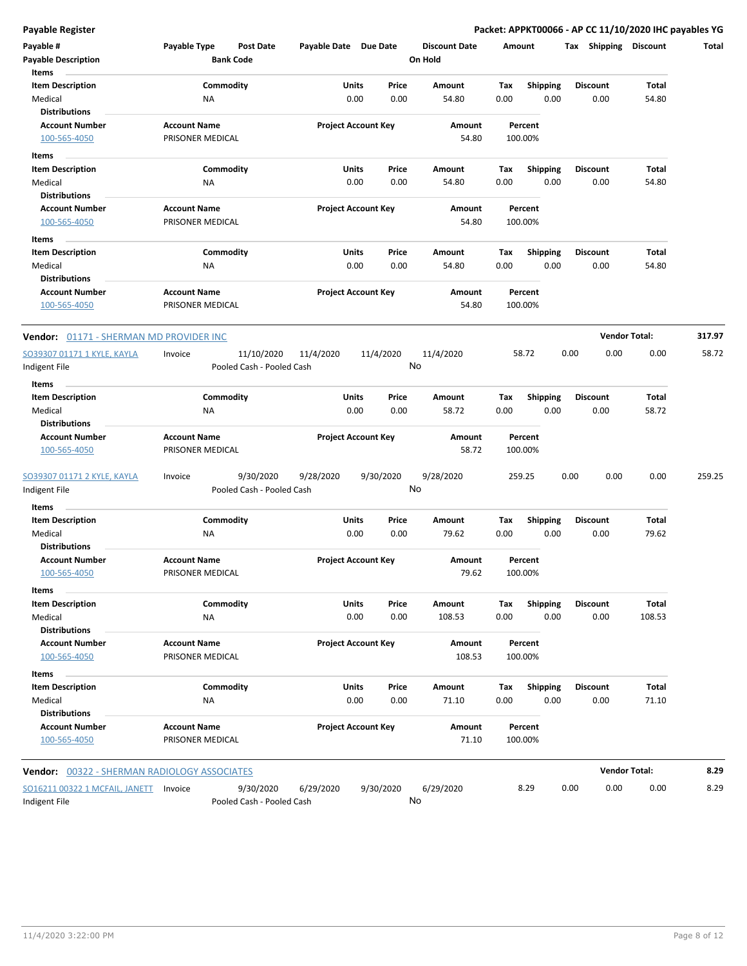**Payable Register Packet: APPKT00066 - AP CC 11/10/2020 IHC payables YG**

| Payable #<br><b>Payable Description</b><br>Items | Payable Type        | Post Date<br><b>Bank Code</b> | Payable Date Due Date |                                | <b>Discount Date</b><br>On Hold | Amount      |                         | <b>Shipping</b><br>Tax  | <b>Discount</b>      | Total  |
|--------------------------------------------------|---------------------|-------------------------------|-----------------------|--------------------------------|---------------------------------|-------------|-------------------------|-------------------------|----------------------|--------|
| <b>Item Description</b><br>Medical               | <b>NA</b>           | Commodity                     |                       | Units<br>Price<br>0.00<br>0.00 | Amount<br>54.80                 | Tax<br>0.00 | <b>Shipping</b><br>0.00 | <b>Discount</b><br>0.00 | Total<br>54.80       |        |
| <b>Distributions</b><br><b>Account Number</b>    | <b>Account Name</b> |                               |                       | <b>Project Account Key</b>     | Amount                          |             | Percent                 |                         |                      |        |
| 100-565-4050                                     | PRISONER MEDICAL    |                               |                       |                                | 54.80                           |             | 100.00%                 |                         |                      |        |
|                                                  |                     |                               |                       |                                |                                 |             |                         |                         |                      |        |
| Items                                            |                     |                               |                       |                                |                                 |             |                         |                         |                      |        |
| <b>Item Description</b><br>Medical               | ΝA                  | Commodity                     |                       | Units<br>Price<br>0.00<br>0.00 | Amount<br>54.80                 | Tax<br>0.00 | Shipping<br>0.00        | <b>Discount</b><br>0.00 | Total<br>54.80       |        |
| <b>Distributions</b>                             |                     |                               |                       |                                |                                 |             |                         |                         |                      |        |
| <b>Account Number</b>                            | <b>Account Name</b> |                               |                       | <b>Project Account Key</b>     | Amount                          |             | Percent                 |                         |                      |        |
| 100-565-4050                                     | PRISONER MEDICAL    |                               |                       |                                | 54.80                           |             | 100.00%                 |                         |                      |        |
| Items                                            |                     |                               |                       |                                |                                 |             |                         |                         |                      |        |
| <b>Item Description</b>                          |                     | Commodity                     |                       | Units<br>Price                 | Amount                          | Tax         | <b>Shipping</b>         | <b>Discount</b>         | Total                |        |
| Medical                                          | ΝA                  |                               |                       | 0.00<br>0.00                   | 54.80                           | 0.00        | 0.00                    | 0.00                    | 54.80                |        |
| <b>Distributions</b>                             |                     |                               |                       |                                |                                 |             |                         |                         |                      |        |
| <b>Account Number</b>                            | <b>Account Name</b> |                               |                       | <b>Project Account Key</b>     | Amount                          |             | Percent                 |                         |                      |        |
| 100-565-4050                                     | PRISONER MEDICAL    |                               |                       |                                | 54.80                           |             | 100.00%                 |                         |                      |        |
| Vendor: 01171 - SHERMAN MD PROVIDER INC          |                     |                               |                       |                                |                                 |             |                         |                         | <b>Vendor Total:</b> | 317.97 |
| SO39307 01171 1 KYLE, KAYLA                      | Invoice             | 11/10/2020                    | 11/4/2020             | 11/4/2020                      | 11/4/2020                       |             | 58.72                   | 0.00<br>0.00            | 0.00                 | 58.72  |
| Indigent File                                    |                     | Pooled Cash - Pooled Cash     |                       |                                | No                              |             |                         |                         |                      |        |
| Items                                            |                     |                               |                       |                                |                                 |             |                         |                         |                      |        |
| <b>Item Description</b>                          |                     | Commodity                     |                       | Units<br>Price                 | Amount                          | Tax         | Shipping                | <b>Discount</b>         | Total                |        |
| Medical                                          | NA                  |                               |                       | 0.00<br>0.00                   | 58.72                           | 0.00        | 0.00                    | 0.00                    | 58.72                |        |
| <b>Distributions</b>                             |                     |                               |                       |                                |                                 |             |                         |                         |                      |        |
| <b>Account Number</b>                            | <b>Account Name</b> |                               |                       | <b>Project Account Key</b>     | Amount                          |             | Percent                 |                         |                      |        |
| 100-565-4050                                     | PRISONER MEDICAL    |                               |                       |                                | 58.72                           |             | 100.00%                 |                         |                      |        |
| SO39307 01171 2 KYLE, KAYLA                      | Invoice             | 9/30/2020                     | 9/28/2020             | 9/30/2020                      | 9/28/2020                       |             | 259.25                  | 0.00<br>0.00            | 0.00                 | 259.25 |
| Indigent File                                    |                     | Pooled Cash - Pooled Cash     |                       |                                | No                              |             |                         |                         |                      |        |
| Items                                            |                     |                               |                       |                                |                                 |             |                         |                         |                      |        |
| <b>Item Description</b>                          |                     | Commodity                     |                       | Units<br>Price                 | Amount                          | Tax         | Shipping                | <b>Discount</b>         | Total                |        |
| Medical                                          | NA                  |                               |                       | 0.00<br>0.00                   | 79.62                           | 0.00        | 0.00                    | 0.00                    | 79.62                |        |
| <b>Distributions</b>                             |                     |                               |                       |                                |                                 |             |                         |                         |                      |        |
| <b>Account Number</b>                            | <b>Account Name</b> |                               |                       | <b>Project Account Key</b>     | Amount                          |             | Percent                 |                         |                      |        |
| 100-565-4050                                     | PRISONER MEDICAL    |                               |                       |                                | 79.62                           |             | 100.00%                 |                         |                      |        |
| Items                                            |                     |                               |                       |                                |                                 |             |                         |                         |                      |        |
| <b>Item Description</b>                          |                     | Commodity                     |                       | Units<br>Price                 | Amount                          | Tax         | <b>Shipping</b>         | <b>Discount</b>         | Total                |        |
| Medical                                          | <b>NA</b>           |                               |                       | 0.00<br>0.00                   | 108.53                          | 0.00        | 0.00                    | 0.00                    | 108.53               |        |
| <b>Distributions</b>                             |                     |                               |                       |                                |                                 |             |                         |                         |                      |        |
| <b>Account Number</b>                            | <b>Account Name</b> |                               |                       | <b>Project Account Key</b>     | Amount                          |             | Percent                 |                         |                      |        |
| 100-565-4050                                     | PRISONER MEDICAL    |                               |                       |                                | 108.53                          |             | 100.00%                 |                         |                      |        |
| Items                                            |                     |                               |                       |                                |                                 |             |                         |                         |                      |        |
| <b>Item Description</b>                          |                     | Commodity                     |                       | Units<br>Price                 | Amount                          | Tax         | <b>Shipping</b>         | <b>Discount</b>         | Total                |        |
| Medical                                          | ΝA                  |                               |                       | 0.00<br>0.00                   | 71.10                           | 0.00        | 0.00                    | 0.00                    | 71.10                |        |
| <b>Distributions</b>                             |                     |                               |                       |                                |                                 |             |                         |                         |                      |        |
| <b>Account Number</b>                            | <b>Account Name</b> |                               |                       | <b>Project Account Key</b>     | Amount                          |             | Percent                 |                         |                      |        |
| 100-565-4050                                     | PRISONER MEDICAL    |                               |                       |                                | 71.10                           |             | 100.00%                 |                         |                      |        |
| Vendor: 00322 - SHERMAN RADIOLOGY ASSOCIATES     |                     |                               |                       |                                |                                 |             |                         |                         | <b>Vendor Total:</b> | 8.29   |

9/30/2020 6/29/2020 9/30/2020 Indigent File **Pooled Cash - Pooled Cash** SO16211 00322 1 MCFAIL, JANETT Invoice 9/30/2020 6/29/2020 9/30/2020 6/29/2020 8.29 0.00 0.00 0.00 8.29 No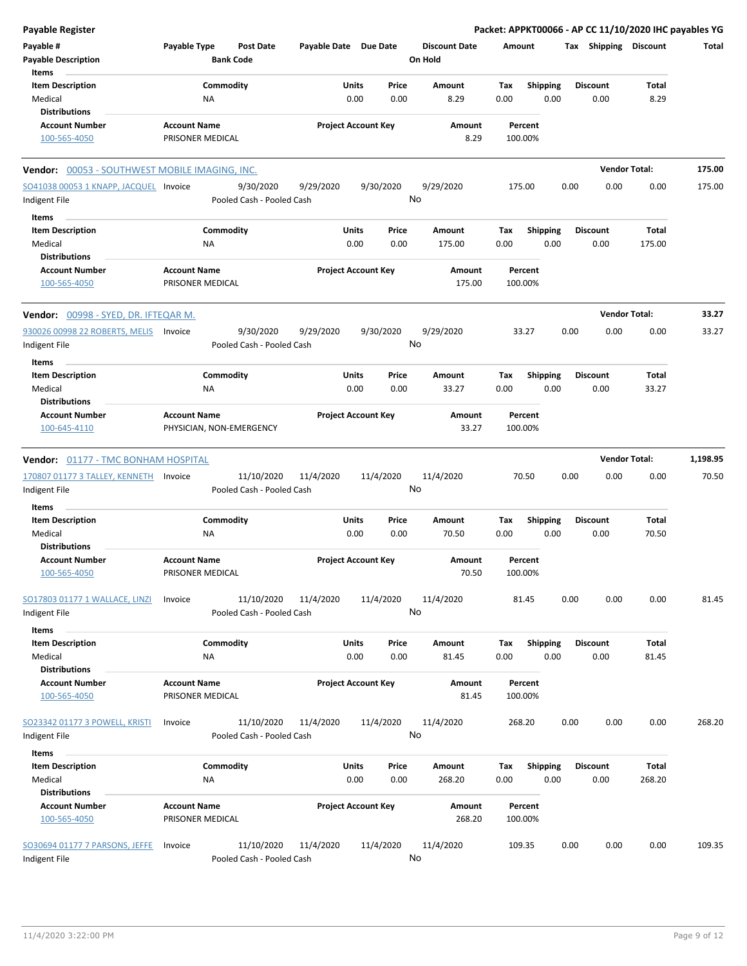| <b>Payable Register</b>                                       |                                                 |                                         |                       |                                |                                 |             |                         |                 |                      | Packet: APPKT00066 - AP CC 11/10/2020 IHC payables YG |          |
|---------------------------------------------------------------|-------------------------------------------------|-----------------------------------------|-----------------------|--------------------------------|---------------------------------|-------------|-------------------------|-----------------|----------------------|-------------------------------------------------------|----------|
| Payable #<br><b>Payable Description</b>                       | Payable Type                                    | <b>Post Date</b><br><b>Bank Code</b>    | Payable Date Due Date |                                | <b>Discount Date</b><br>On Hold | Amount      |                         |                 |                      | Tax Shipping Discount                                 | Total    |
| Items                                                         |                                                 |                                         |                       |                                |                                 |             |                         |                 |                      |                                                       |          |
| <b>Item Description</b><br>Medical                            | Commodity<br>ΝA                                 |                                         |                       | Units<br>Price<br>0.00<br>0.00 | <b>Amount</b><br>8.29           | Tax<br>0.00 | <b>Shipping</b><br>0.00 | <b>Discount</b> | 0.00                 | Total<br>8.29                                         |          |
| <b>Distributions</b>                                          |                                                 |                                         |                       |                                |                                 |             |                         |                 |                      |                                                       |          |
| <b>Account Number</b><br>100-565-4050                         | <b>Account Name</b><br>PRISONER MEDICAL         |                                         |                       | <b>Project Account Key</b>     | Amount<br>8.29                  |             | Percent<br>100.00%      |                 |                      |                                                       |          |
| Vendor: 00053 - SOUTHWEST MOBILE IMAGING, INC.                |                                                 |                                         |                       |                                |                                 |             |                         |                 | <b>Vendor Total:</b> |                                                       | 175.00   |
| SO41038 00053 1 KNAPP, JACQUEL Invoice                        |                                                 | 9/30/2020                               | 9/29/2020             | 9/30/2020                      | 9/29/2020                       |             | 175.00                  | 0.00            | 0.00                 | 0.00                                                  | 175.00   |
| Indigent File                                                 |                                                 | Pooled Cash - Pooled Cash               |                       |                                | No                              |             |                         |                 |                      |                                                       |          |
| Items                                                         |                                                 |                                         |                       |                                |                                 |             |                         |                 |                      |                                                       |          |
| <b>Item Description</b>                                       | Commodity                                       |                                         |                       | Units<br>Price                 | Amount                          | Tax         | <b>Shipping</b>         | <b>Discount</b> |                      | <b>Total</b>                                          |          |
| Medical                                                       | ΝA                                              |                                         |                       | 0.00<br>0.00                   | 175.00                          | 0.00        | 0.00                    |                 | 0.00                 | 175.00                                                |          |
| <b>Distributions</b><br><b>Account Number</b><br>100-565-4050 | <b>Account Name</b><br>PRISONER MEDICAL         |                                         |                       | <b>Project Account Key</b>     | Amount<br>175.00                |             | Percent<br>100.00%      |                 |                      |                                                       |          |
| Vendor: 00998 - SYED, DR. IFTEQAR M.                          |                                                 |                                         |                       |                                |                                 |             |                         |                 |                      | <b>Vendor Total:</b>                                  | 33.27    |
| 930026 00998 22 ROBERTS, MELIS                                | Invoice                                         | 9/30/2020                               | 9/29/2020             | 9/30/2020                      | 9/29/2020                       |             | 33.27                   | 0.00            | 0.00                 | 0.00                                                  | 33.27    |
| Indigent File                                                 |                                                 | Pooled Cash - Pooled Cash               |                       |                                | No                              |             |                         |                 |                      |                                                       |          |
| Items                                                         |                                                 |                                         |                       |                                |                                 |             |                         |                 |                      |                                                       |          |
| <b>Item Description</b>                                       | Commodity                                       |                                         | Units                 | Price                          | Amount                          | Tax         | <b>Shipping</b>         | <b>Discount</b> |                      | Total                                                 |          |
| Medical                                                       | ΝA                                              |                                         |                       | 0.00<br>0.00                   | 33.27                           | 0.00        | 0.00                    |                 | 0.00                 | 33.27                                                 |          |
| <b>Distributions</b>                                          |                                                 |                                         |                       |                                |                                 |             |                         |                 |                      |                                                       |          |
| <b>Account Number</b><br>100-645-4110                         | <b>Account Name</b><br>PHYSICIAN, NON-EMERGENCY |                                         |                       | <b>Project Account Key</b>     | Amount<br>33.27                 |             | Percent<br>100.00%      |                 |                      |                                                       |          |
| Vendor: 01177 - TMC BONHAM HOSPITAL                           |                                                 |                                         |                       |                                |                                 |             |                         |                 |                      | <b>Vendor Total:</b>                                  | 1,198.95 |
| 170807 01177 3 TALLEY, KENNETH Invoice                        |                                                 | 11/10/2020                              | 11/4/2020             | 11/4/2020                      | 11/4/2020                       |             | 70.50                   | 0.00            | 0.00                 | 0.00                                                  | 70.50    |
| Indigent File                                                 |                                                 | Pooled Cash - Pooled Cash               |                       |                                | No                              |             |                         |                 |                      |                                                       |          |
| Items                                                         |                                                 |                                         |                       |                                |                                 |             |                         |                 |                      |                                                       |          |
| <b>Item Description</b>                                       | Commodity                                       |                                         |                       | Units<br>Price                 | Amount                          | Tax         | <b>Shipping</b>         | <b>Discount</b> |                      | Total                                                 |          |
| Medical                                                       | ΝA                                              |                                         |                       | 0.00<br>0.00                   | 70.50                           | 0.00        | 0.00                    |                 | 0.00                 | 70.50                                                 |          |
| <b>Distributions</b>                                          |                                                 |                                         |                       |                                |                                 |             |                         |                 |                      |                                                       |          |
| <b>Account Number</b><br>100-565-4050                         | <b>Account Name</b><br>PRISONER MEDICAL         |                                         |                       | <b>Project Account Key</b>     | Amount<br>70.50                 |             | Percent<br>100.00%      |                 |                      |                                                       |          |
| SO17803 01177 1 WALLACE, LINZI<br>Indigent File               | Invoice                                         | 11/10/2020<br>Pooled Cash - Pooled Cash | 11/4/2020             | 11/4/2020                      | 11/4/2020<br>No                 |             | 81.45                   | 0.00            | 0.00                 | 0.00                                                  | 81.45    |
| <b>Items</b>                                                  |                                                 |                                         |                       |                                |                                 |             |                         |                 |                      |                                                       |          |
| <b>Item Description</b>                                       | Commodity                                       |                                         |                       | <b>Units</b><br>Price          | Amount                          | Tax         | <b>Shipping</b>         | <b>Discount</b> |                      | Total                                                 |          |
| Medical                                                       | NA                                              |                                         |                       | 0.00<br>0.00                   | 81.45                           | 0.00        | 0.00                    |                 | 0.00                 | 81.45                                                 |          |
| <b>Distributions</b>                                          |                                                 |                                         |                       |                                |                                 |             |                         |                 |                      |                                                       |          |
| <b>Account Number</b><br>100-565-4050                         | <b>Account Name</b><br>PRISONER MEDICAL         |                                         |                       | <b>Project Account Key</b>     | Amount<br>81.45                 |             | Percent<br>100.00%      |                 |                      |                                                       |          |
| SO23342 01177 3 POWELL, KRISTI                                | Invoice                                         | 11/10/2020                              | 11/4/2020             | 11/4/2020                      | 11/4/2020                       |             | 268.20                  | 0.00            | 0.00                 | 0.00                                                  | 268.20   |
| Indigent File                                                 |                                                 | Pooled Cash - Pooled Cash               |                       |                                | No                              |             |                         |                 |                      |                                                       |          |
| Items                                                         |                                                 |                                         |                       |                                |                                 |             |                         |                 |                      |                                                       |          |
| <b>Item Description</b>                                       | Commodity                                       |                                         |                       | <b>Units</b><br>Price          | Amount                          | Tax         | <b>Shipping</b>         | <b>Discount</b> |                      | Total                                                 |          |
| Medical                                                       | NA                                              |                                         |                       | 0.00<br>0.00                   | 268.20                          | 0.00        | 0.00                    |                 | 0.00                 | 268.20                                                |          |
| <b>Distributions</b>                                          |                                                 |                                         |                       |                                |                                 |             |                         |                 |                      |                                                       |          |
| <b>Account Number</b><br>100-565-4050                         | <b>Account Name</b><br>PRISONER MEDICAL         |                                         |                       | <b>Project Account Key</b>     | Amount<br>268.20                |             | Percent<br>100.00%      |                 |                      |                                                       |          |
|                                                               |                                                 |                                         |                       |                                |                                 |             |                         |                 |                      |                                                       |          |
| SO30694 01177 7 PARSONS, JEFFE<br>Indigent File               | Invoice                                         | 11/10/2020<br>Pooled Cash - Pooled Cash | 11/4/2020             | 11/4/2020                      | 11/4/2020<br>No                 |             | 109.35                  | 0.00            | 0.00                 | 0.00                                                  | 109.35   |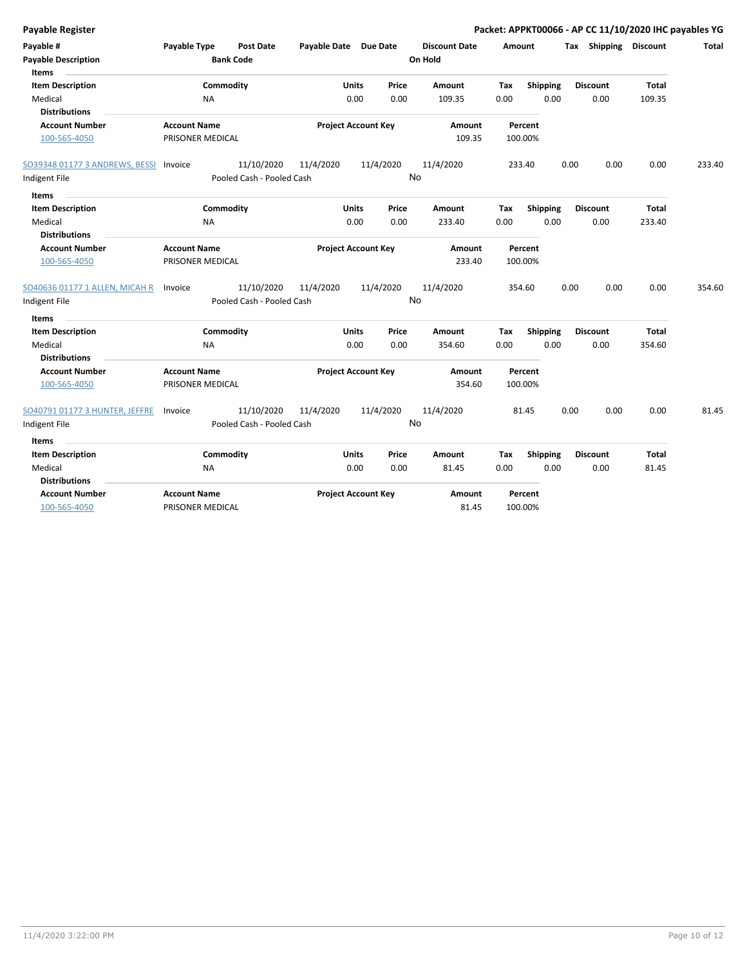| <b>Payable Register</b>               |                                  |                            |           |                      | Packet: APPKT00066 - AP CC 11/10/2020 IHC payables YG |      |                       |              |        |
|---------------------------------------|----------------------------------|----------------------------|-----------|----------------------|-------------------------------------------------------|------|-----------------------|--------------|--------|
| Payable #                             | Payable Type<br><b>Post Date</b> | Payable Date Due Date      |           | <b>Discount Date</b> | Amount                                                |      | Tax Shipping Discount |              | Total  |
| <b>Payable Description</b><br>Items   | <b>Bank Code</b>                 |                            |           | On Hold              |                                                       |      |                       |              |        |
| <b>Item Description</b>               | Commodity                        | <b>Units</b>               | Price     | Amount               | <b>Shipping</b><br>Tax                                |      | <b>Discount</b>       | Total        |        |
| Medical                               | NA                               | 0.00                       | 0.00      | 109.35               | 0.00                                                  | 0.00 | 0.00                  | 109.35       |        |
| <b>Distributions</b>                  |                                  |                            |           |                      |                                                       |      |                       |              |        |
| <b>Account Number</b>                 | <b>Account Name</b>              | <b>Project Account Key</b> |           | Amount               | Percent                                               |      |                       |              |        |
| 100-565-4050                          | PRISONER MEDICAL                 |                            |           | 109.35               | 100.00%                                               |      |                       |              |        |
| SO39348 01177 3 ANDREWS, BESSI        | 11/10/2020<br>Invoice            | 11/4/2020                  | 11/4/2020 | 11/4/2020            | 233.40                                                | 0.00 | 0.00                  | 0.00         | 233.40 |
| Indigent File                         | Pooled Cash - Pooled Cash        |                            |           | No                   |                                                       |      |                       |              |        |
| Items                                 |                                  |                            |           |                      |                                                       |      |                       |              |        |
| <b>Item Description</b>               | Commodity                        | <b>Units</b>               | Price     | Amount               | <b>Shipping</b><br>Tax                                |      | <b>Discount</b>       | <b>Total</b> |        |
| Medical                               | <b>NA</b>                        | 0.00                       | 0.00      | 233.40               | 0.00                                                  | 0.00 | 0.00                  | 233.40       |        |
| <b>Distributions</b>                  |                                  |                            |           |                      |                                                       |      |                       |              |        |
| <b>Account Number</b>                 | <b>Account Name</b>              | <b>Project Account Key</b> |           | Amount               | Percent                                               |      |                       |              |        |
| 100-565-4050                          | PRISONER MEDICAL                 |                            |           | 233.40               | 100.00%                                               |      |                       |              |        |
| SO40636 01177 1 ALLEN, MICAH R        | 11/10/2020<br>Invoice            | 11/4/2020                  | 11/4/2020 | 11/4/2020            | 354.60                                                | 0.00 | 0.00                  | 0.00         | 354.60 |
| Indigent File                         | Pooled Cash - Pooled Cash        |                            |           | No                   |                                                       |      |                       |              |        |
| Items                                 |                                  |                            |           |                      |                                                       |      |                       |              |        |
| <b>Item Description</b>               | Commodity                        | <b>Units</b>               | Price     | Amount               | Tax<br><b>Shipping</b>                                |      | <b>Discount</b>       | <b>Total</b> |        |
| Medical                               | <b>NA</b>                        | 0.00                       | 0.00      | 354.60               | 0.00                                                  | 0.00 | 0.00                  | 354.60       |        |
| <b>Distributions</b>                  |                                  |                            |           |                      |                                                       |      |                       |              |        |
| <b>Account Number</b>                 | <b>Account Name</b>              | <b>Project Account Key</b> |           | Amount               | Percent                                               |      |                       |              |        |
| 100-565-4050                          | PRISONER MEDICAL                 |                            |           | 354.60               | 100.00%                                               |      |                       |              |        |
| <b>SO40791 01177 3 HUNTER, JEFFRE</b> | 11/10/2020<br>Invoice            | 11/4/2020                  | 11/4/2020 | 11/4/2020            | 81.45                                                 | 0.00 | 0.00                  | 0.00         | 81.45  |
| Indigent File                         | Pooled Cash - Pooled Cash        |                            |           | No                   |                                                       |      |                       |              |        |
| Items                                 |                                  |                            |           |                      |                                                       |      |                       |              |        |
| <b>Item Description</b>               | Commodity                        | <b>Units</b>               | Price     | Amount               | Shipping<br>Tax                                       |      | <b>Discount</b>       | Total        |        |
| Medical                               | <b>NA</b>                        | 0.00                       | 0.00      | 81.45                | 0.00                                                  | 0.00 | 0.00                  | 81.45        |        |
| <b>Distributions</b>                  |                                  |                            |           |                      |                                                       |      |                       |              |        |
| <b>Account Number</b>                 | <b>Account Name</b>              | <b>Project Account Key</b> |           | Amount               | Percent                                               |      |                       |              |        |
| 100-565-4050                          | PRISONER MEDICAL                 |                            |           | 81.45                | 100.00%                                               |      |                       |              |        |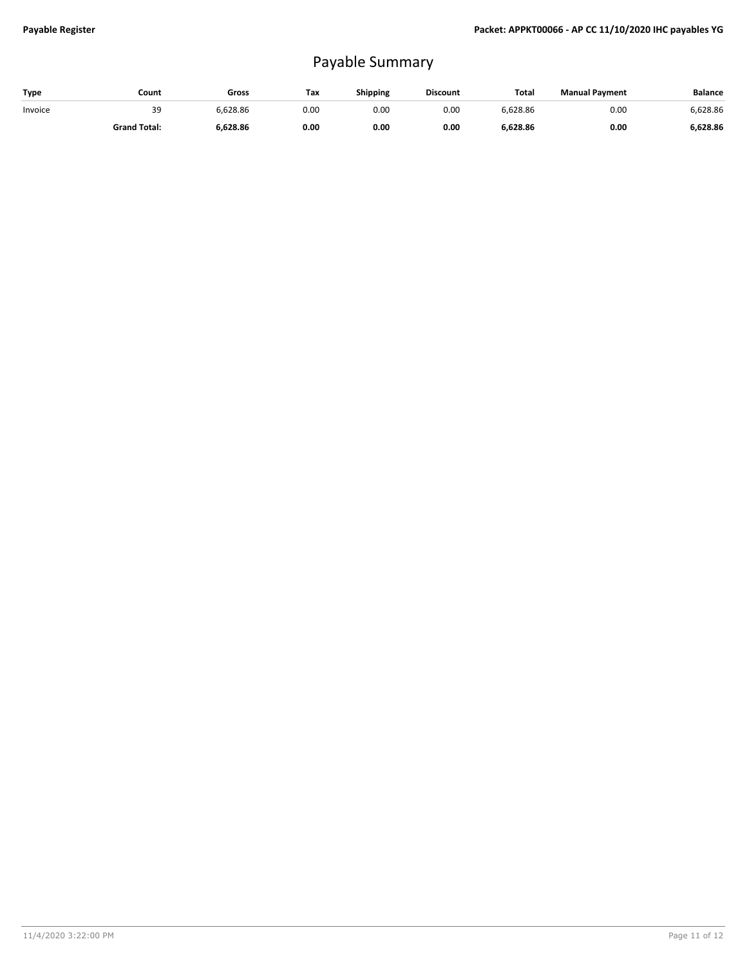# Payable Summary

| Type    | Count               | Gross    | Tax  | Shipping | <b>Discount</b> | Total    | <b>Manual Payment</b> | <b>Balance</b> |
|---------|---------------------|----------|------|----------|-----------------|----------|-----------------------|----------------|
| Invoice | 39                  | 628.86 ن | 0.00 | 0.00     | 0.00            | 6.628.86 | 0.00                  | 6,628.86       |
|         | <b>Grand Total:</b> | 6,628.86 | 0.00 | 0.00     | 0.00            | 6,628.86 | 0.00                  | 6.628.86       |